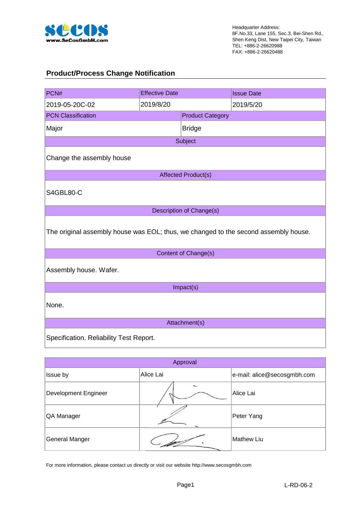

#### **Product/Process Change Notification**

| PCN#                                                                                | <b>Effective Date</b> |                          | <b>Issue Date</b> |  |  |  |  |
|-------------------------------------------------------------------------------------|-----------------------|--------------------------|-------------------|--|--|--|--|
| 2019-05-20C-02                                                                      | 2019/8/20             |                          | 2019/5/20         |  |  |  |  |
| <b>PCN Classification</b>                                                           |                       | <b>Product Category</b>  |                   |  |  |  |  |
| Major                                                                               |                       | <b>Bridge</b>            |                   |  |  |  |  |
|                                                                                     |                       | Subject                  |                   |  |  |  |  |
| Change the assembly house                                                           |                       |                          |                   |  |  |  |  |
|                                                                                     |                       | Affected Product(s)      |                   |  |  |  |  |
| S4GBL80-C                                                                           |                       |                          |                   |  |  |  |  |
|                                                                                     |                       | Description of Change(s) |                   |  |  |  |  |
| The original assembly house was EOL; thus, we changed to the second assembly house. |                       |                          |                   |  |  |  |  |
|                                                                                     |                       | Content of Change(s)     |                   |  |  |  |  |
| Assembly house. Wafer.                                                              |                       |                          |                   |  |  |  |  |
|                                                                                     |                       | Impact(s)                |                   |  |  |  |  |
| None.                                                                               |                       |                          |                   |  |  |  |  |
|                                                                                     |                       | Attachment(s)            |                   |  |  |  |  |
| Specification. Reliability Test Report.                                             |                       |                          |                   |  |  |  |  |

| Approval              |           |                             |  |  |  |  |  |  |
|-----------------------|-----------|-----------------------------|--|--|--|--|--|--|
| Issue by              | Alice Lai | e-mail: alice@secosgmbh.com |  |  |  |  |  |  |
| Development Engineer  |           | Alice Lai                   |  |  |  |  |  |  |
| QA Manager            |           | Peter Yang                  |  |  |  |  |  |  |
| <b>General Manger</b> |           | Mathew Liu                  |  |  |  |  |  |  |

For more information, please contact us directly or visit our website http://www.secosgmbh.com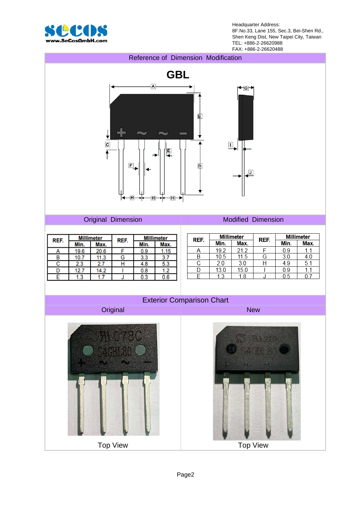

Headquarter Address: 8F.No.33, Lane 155, Sec.3, Bei-Shen Rd., Shen Keng Dist, New Taipei City, Taiwan TEL: +886-2-26620988 FAX: +886-2-26620488



Page2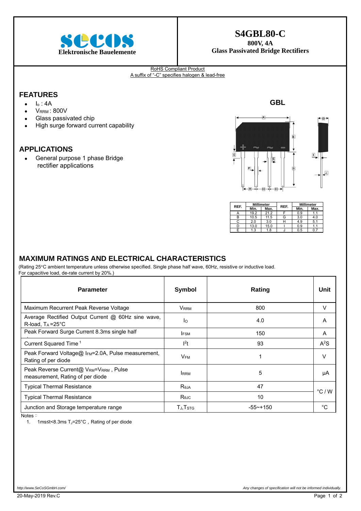

### **S4GBL80-C**

**800V, 4A** 

#### RoHS Compliant Product A suffix of "-C" specifies halogen & lead-free

#### **FEATURES**

- $\bullet$   $I_0$ : 4A
- $\bullet$  VRRM : 800V
- Glass passivated chip
- High surge forward current capability

#### **APPLICATIONS**

 General purpose 1 phase Bridge rectifier applications



**GBL** 

| REF. |            | <b>Millimeter</b> | REF. | <b>Millimeter</b> |      |  |
|------|------------|-------------------|------|-------------------|------|--|
|      | Min.       | Max.              |      | Min.              | Max. |  |
|      | 19.2       | 21.2              |      | 0.9               |      |  |
| В    | 10.5       | 11.5              | G    | 3.0               | 4.0  |  |
|      | 2.0        | 3.0               | ۲    | 4.9               | 5.1  |  |
|      | 13.0       | 15.0              |      | 0.9               |      |  |
|      | 1.3<br>1.8 |                   |      | 0.5               |      |  |

#### **MAXIMUM RATINGS AND ELECTRICAL CHARACTERISTICS**

(Rating 25°C ambient temperature unless otherwise specified. Single phase half wave, 60Hz, resistive or inductive load. For capacitive load, de-rate current by 20%.)

| <b>Parameter</b>                                                                       | Symbol                 | Rating      | Unit             |
|----------------------------------------------------------------------------------------|------------------------|-------------|------------------|
| Maximum Recurrent Peak Reverse Voltage                                                 | V <sub>RRM</sub>       | 800         | V                |
| Average Rectified Output Current @ 60Hz sine wave,<br>R-load, $T_A = 25^{\circ}C$      | lo.                    | 4.0         | A                |
| Peak Forward Surge Current 8.3ms single half                                           | <b>IFSM</b>            | 150         | A                |
| Current Squared Time <sup>1</sup>                                                      | $l^2t$                 | 93          | A <sup>2</sup> S |
| Peak Forward Voltage@ I <sub>FM</sub> =2.0A, Pulse measurement,<br>Rating of per diode | <b>V</b> <sub>FM</sub> |             | V                |
| Peak Reverse Current@ VRM=VRRM, Pulse<br>measurement, Rating of per diode              | <b>I</b> RRM           | 5           | μA               |
| <b>Typical Thermal Resistance</b>                                                      | Reja                   | 47          |                  |
| <b>Typical Thermal Resistance</b>                                                      | $R_{\theta$ JC         | 10          | $\degree$ C / W  |
| Junction and Storage temperature range                                                 | $T_J$ , $T_{STG}$      | $-55$ ~+150 | $^{\circ}C$      |

Notes:

1. 1ms≤t<8.3ms T<sub>J</sub>=25°C, Rating of per diode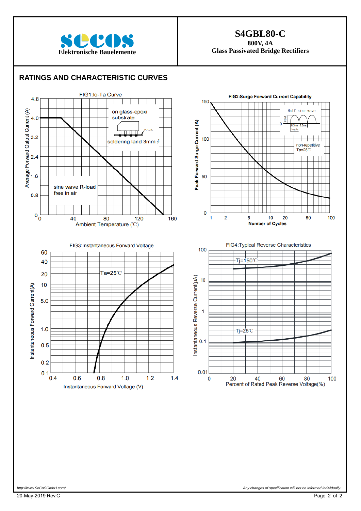

### **S4GBL80-C**

**800V, 4A** 

#### **RATINGS AND CHARACTERISTIC CURVES**

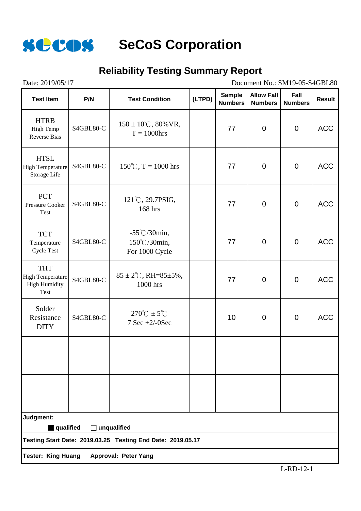

## **Reliability Testing Summary Report**

Date: 2019/05/17 Document No.: SM19-05-S4GBL80

| <b>Test Item</b>                                                      | P/N       | <b>Test Condition</b>                                       | (LTPD) | <b>Sample</b><br><b>Numbers</b> | <b>Allow Fall</b><br><b>Numbers</b> | Fall<br><b>Numbers</b> | <b>Result</b> |
|-----------------------------------------------------------------------|-----------|-------------------------------------------------------------|--------|---------------------------------|-------------------------------------|------------------------|---------------|
| <b>HTRB</b><br>High Temp<br><b>Reverse Bias</b>                       | S4GBL80-C | $150 \pm 10^{\circ}$ C, 80% VR,<br>$T = 1000$ hrs           |        | 77                              | $\mathbf 0$                         | $\mathbf 0$            | <b>ACC</b>    |
| <b>HTSL</b><br><b>High Temperature</b><br>Storage Life                | S4GBL80-C | $150^{\circ}$ C, T = 1000 hrs                               |        | 77                              | $\mathbf 0$                         | $\mathbf 0$            | <b>ACC</b>    |
| <b>PCT</b><br><b>Pressure Cooker</b><br><b>Test</b>                   | S4GBL80-C | 121°C, 29.7PSIG,<br>168 hrs                                 |        | 77                              | $\overline{0}$                      | $\mathbf 0$            | <b>ACC</b>    |
| <b>TCT</b><br>Temperature<br><b>Cycle Test</b>                        | S4GBL80-C | $-55^{\circ}$ C/30min,<br>150°C/30min,<br>For 1000 Cycle    |        | 77                              | $\overline{0}$                      | $\mathbf 0$            | <b>ACC</b>    |
| <b>THT</b><br><b>High Temperature</b><br><b>High Humidity</b><br>Test | S4GBL80-C | $85 \pm 2^{\circ}$ C, RH= $85 \pm 5\%$ ,<br>1000 hrs        |        | 77                              | $\overline{0}$                      | $\mathbf 0$            | <b>ACC</b>    |
| Solder<br>Resistance<br><b>DITY</b>                                   | S4GBL80-C | $270^{\circ}$ C $\pm$ 5 $^{\circ}$ C<br>$7$ Sec $+2/-0$ Sec |        | 10                              | $\mathbf 0$                         | $\mathbf 0$            | <b>ACC</b>    |
|                                                                       |           |                                                             |        |                                 |                                     |                        |               |
|                                                                       |           |                                                             |        |                                 |                                     |                        |               |
| Judgment:<br>qualified                                                |           | unqualified                                                 |        |                                 |                                     |                        |               |
|                                                                       |           | Testing Start Date: 2019.03.25 Testing End Date: 2019.05.17 |        |                                 |                                     |                        |               |
| <b>Tester: King Huang</b>                                             |           | <b>Approval: Peter Yang</b>                                 |        |                                 |                                     |                        |               |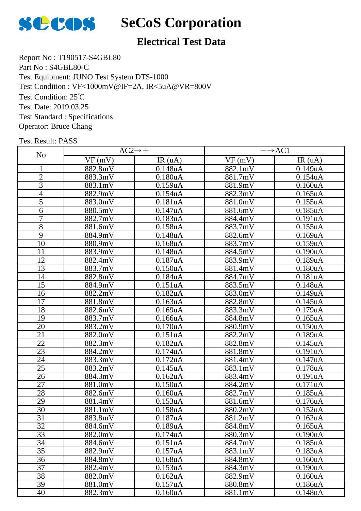

## **Electrical Test Data**

Report No : T190517-S4GBL80 Part No : S4GBL80-C Test Equipment: JUNO Test System DTS-1000 Test Condition: 25℃ Test Date: 2019.03.25 Test Standard : Specifications Operator: Bruce Chang Test Condition : VF<1000mV@IF=2A, IR<5uA@VR=800V

|                 |         | $AC2 \rightarrow +$   | $\rightarrow$ AC1 |                       |  |
|-----------------|---------|-----------------------|-------------------|-----------------------|--|
| N <sub>o</sub>  | VF(mV)  | IR(uA)                | VF(mV)            | IR(uA)                |  |
|                 | 882.8mV | 0.148uA               | 882.1mV           | 0.149uA               |  |
| $\overline{2}$  | 883.3mV | 0.180uA               | 881.7mV           | 0.154uA               |  |
| $\overline{3}$  | 883.1mV | 0.159uA               | 881.9mV           | 0.160uA               |  |
| $\overline{4}$  | 882.9mV | $\overline{0.154}$ uA | 882.3mV           | 0.165uA               |  |
| $\overline{5}$  | 883.0mV | 0.181uA               | 881.0mV           | 0.155uA               |  |
| 6               | 880.5mV | 0.147uA               | 881.6mV           | 0.185uA               |  |
| $\overline{7}$  | 882.7mV | 0.183uA               | 884.4mV           | 0.191uA               |  |
| $\overline{8}$  | 881.6mV | 0.158uA               | 883.7mV           | 0.155uA               |  |
| 9               | 884.9mV | 0.148uA               | 882.6mV           | 0.169uA               |  |
| $\overline{10}$ | 880.9mV | $0.168$ uA            | 883.7mV           | 0.159uA               |  |
| 11              | 883.9mV | $\overline{0.148}$ uA | 884.5mV           | $\overline{0.190}$ uA |  |
| 12              | 882.4mV | 0.187uA               | 883.9mV           | 0.189uA               |  |
| 13              | 883.7mV | 0.150uA               | 881.4mV           | 0.180uA               |  |
| 14              | 882.8mV | 0.184uA               | 884.7mV           | 0.181uA               |  |
| 15              | 884.9mV | 0.151uA               | 883.5mV           | 0.148uA               |  |
| $\overline{16}$ | 882.2mV | 0.182uA               | 883.0mV           | 0.149uA               |  |
| $\overline{17}$ | 881.8mV | 0.163uA               | 882.8mV           | 0.145uA               |  |
| 18              | 882.6mV | $0.169$ uA            | 883.3mV           | 0.179uA               |  |
| 19              | 883.7mV | 0.166uA               | 884.8mV           | $0.165$ uA            |  |
| 20              | 883.2mV | 0.170uA               | 880.9mV           | 0.150uA               |  |
| 21              | 882.0mV | 0.151uA               | 882.2mV           | 0.189uA               |  |
| 22              | 882.3mV | 0.182uA               | 882.8mV           | 0.145uA               |  |
| 23              | 884.2mV | 0.174uA               | 881.8mV           | 0.191uA               |  |
| 24              | 883.3mV | 0.172uA               | 881.4mV           | 0.147uA               |  |
| $\overline{25}$ | 883.2mV | 0.145uA               | 883.1mV           | 0.178uA               |  |
| 26              | 884.3mV | 0.162uA               | 883.4mV           | 0.191uA               |  |
| 27              | 881.0mV | 0.150uA               | 884.2mV           | 0.171uA               |  |
| 28              | 882.6mV | 0.160uA               | 882.7mV           | 0.185uA               |  |
| 29              | 881.4mV | 0.153uA               | 881.6mV           | 0.176uA               |  |
| 30              | 881.1mV | 0.158uA               | 880.2mV           | 0.152uA               |  |
| $\overline{31}$ | 883.8mV | 0.187uA               | 881.2mV           | 0.162uA               |  |
| 32              | 884.6mV | 0.189uA               | 884.8mV           | 0.165uA               |  |
| $\overline{33}$ | 882.0mV | 0.174uA               | 880.3mV           | 0.190 <sub>u</sub> A  |  |
| 34              | 884.6mV | 0.151uA               | 884.7mV           | 0.185uA               |  |
| $\overline{35}$ | 882.9mV | 0.157uA               | 883.1mV           | 0.183uA               |  |
| 36              | 884.8mV | $0.168$ u $A$         | 884.8mV           | 0.160uA               |  |
| 37              | 882.4mV | 0.153uA               | 884.3mV           | 0.190uA               |  |
| 38              | 882.0mV | 0.162uA               | 882.9mV           | 0.160uA               |  |
| 39              | 881.0mV | 0.157uA               | 880.8mV           | 0.186uA               |  |
| 40              | 882.3mV | 0.160uA               | 881.1mV           | 0.148uA               |  |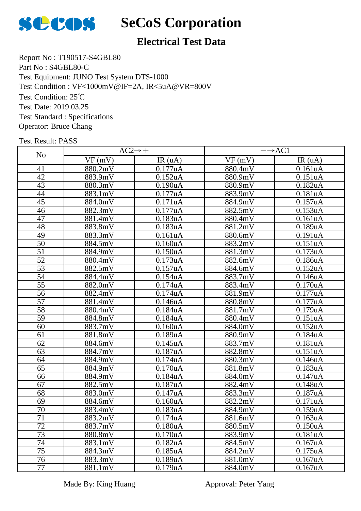

## **Electrical Test Data**

Report No : T190517-S4GBL80 Part No : S4GBL80-C Test Equipment: JUNO Test System DTS-1000 Test Condition: 25℃ Test Date: 2019.03.25 Test Standard : Specifications Operator: Bruce Chang Test Condition : VF<1000mV@IF=2A, IR<5uA@VR=800V

|                 |         | $AC2 \rightarrow +$   | $\rightarrow$ AC1 |                       |  |
|-----------------|---------|-----------------------|-------------------|-----------------------|--|
| N <sub>o</sub>  | VF(mV)  | IR(uA)                | VF(mV)            | IR(uA)                |  |
| 41              | 880.2mV | 0.177uA               | 880.4mV           | 0.161uA               |  |
| 42              | 883.9mV | 0.152uA               | 880.9mV           | 0.151uA               |  |
| 43              | 880.3mV | 0.190uA               | 880.9mV           | 0.182uA               |  |
| 44              | 883.1mV | 0.177uA               | 883.9mV           | 0.181uA               |  |
| 45              | 884.0mV | 0.171uA               | 884.9mV           | 0.157uA               |  |
| 46              | 882.3mV | 0.177uA               | 882.5mV           | 0.153uA               |  |
| $\overline{47}$ | 881.4mV | 0.183uA               | 880.4mV           | 0.161uA               |  |
| 48              | 883.8mV | 0.183uA               | 881.2mV           | $0.189$ uA            |  |
| 49              | 883.3mV | 0.161uA               | 880.6mV           | 0.191uA               |  |
| $\overline{50}$ | 884.5mV | 0.160uA               | 883.2mV           | 0.151uA               |  |
| $\overline{51}$ | 884.9mV | 0.150uA               | 881.3mV           | $\overline{0.1}$ 73uA |  |
| 52              | 880.4mV | 0.173uA               | 882.6mV           | 0.186uA               |  |
| $\overline{53}$ | 882.5mV | 0.157uA               | 884.6mV           | 0.152uA               |  |
| $\overline{54}$ | 884.4mV | 0.154uA               | 883.7mV           | 0.146uA               |  |
| 55              | 882.0mV | 0.174uA               | 883.4mV           | 0.170uA               |  |
| 56              | 882.4mV | $\overline{0.1}$ 74uA | 881.9mV           | 0.177uA               |  |
| 57              | 881.4mV | 0.146uA               | 880.8mV           | 0.177uA               |  |
| $\overline{58}$ | 880.4mV | 0.184uA               | 881.7mV           | 0.179uA               |  |
| 59              | 884.8mV | 0.184uA               | 880.4mV           | 0.151uA               |  |
| 60              | 883.7mV | 0.160uA               | 884.0mV           | 0.152uA               |  |
| 61              | 881.8mV | $0.189$ u $A$         | 880.9mV           | 0.184uA               |  |
| 62              | 884.6mV | 0.145uA               | 883.7mV           | 0.181uA               |  |
| 63              | 884.7mV | 0.187uA               | 882.8mV           | 0.151uA               |  |
| 64              | 884.9mV | 0.174uA               | 880.3mV           | 0.146uA               |  |
| 65              | 884.9mV | $\overline{0.170}$ uA | 881.8mV           | 0.183uA               |  |
| 66              | 884.9mV | 0.184uA               | 884.0mV           | 0.147uA               |  |
| 67              | 882.5mV | $\overline{0.187}$ uA | 882.4mV           | 0.148uA               |  |
| 68              | 883.0mV | 0.147uA               | 883.3mV           | 0.187uA               |  |
| 69              | 884.6mV | 0.160uA               | 882.2mV           | 0.171uA               |  |
| 70              | 883.4mV | 0.183uA               | 884.9mV           | 0.159uA               |  |
| 71              | 883.2mV | 0.174uA               | 881.6mV           | 0.163uA               |  |
| $\overline{72}$ | 883.7mV | 0.180 <sub>u</sub> A  | 880.5mV           | 0.150uA               |  |
| 73              | 880.8mV | 0.170uA               | 883.9mV           | 0.181uA               |  |
| 74              | 883.1mV | 0.182uA               | 884.5mV           | 0.167uA               |  |
| $\overline{75}$ | 884.3mV | 0.185uA               | 884.2mV           | 0.175uA               |  |
| 76              | 883.3mV | 0.189uA               | 881.0mV           | 0.167uA               |  |
| 77              | 881.1mV | 0.179uA               | 884.0mV           | 0.167uA               |  |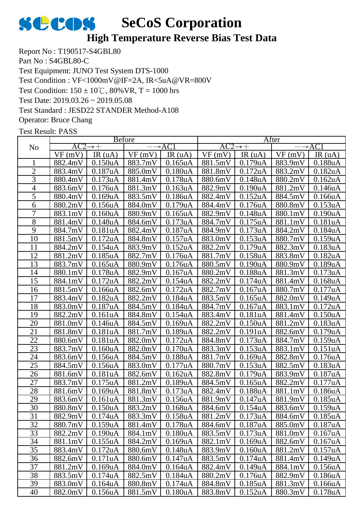

## **High Temperature Reverse Bias Test Data**

Report No : T190517-S4GBL80 Part No : S4GBL80-C Test Equipment: JUNO Test System DTS-1000 Test Condition:  $150 \pm 10^{\circ}$ C,  $80\%$  VR, T = 1000 hrs Test Date: 2019.03.26 ~ 2019.05.08 Test Standard : JESD22 STANDER Method-A108 Operator: Bruce Chang Test Condition : VF<1000mV@IF=2A, IR<5uA@VR=800V

|                 |         |                      | <b>B</b> efore |                      |         |                      | After           |                      |  |
|-----------------|---------|----------------------|----------------|----------------------|---------|----------------------|-----------------|----------------------|--|
| N <sub>o</sub>  | AC2     | $\rightarrow +$      |                | $\rightarrow$ AC1    | AC2     | $\rightarrow +$      |                 | $\rightarrow$ AC1    |  |
|                 | VF(mV)  | IR(uA)               | VF(mV)         | IR(uA)               | VF(mV)  | IR(uA)               | VF(mV)          | IR(uA)               |  |
|                 | 882.4mV | 0.150 <sub>u</sub> A | 883.7mV        | $0.165$ uA           | 881.5mV | 0.179uA              | 883.9mV         | 0.188uA              |  |
| $\overline{2}$  | 883.4mV | 0.187uA              | 885.0mV        | 0.180 <sub>u</sub> A | 881.8mV | 0.172uA              | 883.2mV         | 0.182 <sub>u</sub> A |  |
| 3               | 880.4mV | 0.173uA              | 881.4mV        | 0.178 <sub>u</sub> A | 880.6mV | 0.148uA              | 880.2mV         | 0.162 <sub>u</sub> A |  |
| $\overline{4}$  | 883.6mV | 0.176uA              | 881.3mV        | 0.163uA              | 882.9mV | 0.190 <sub>u</sub> A | 881.2mV         | 0.146uA              |  |
| 5               | 880.4mV | 0.169uA              | 883.5mV        | 0.186uA              | 882.4mV | 0.152uA              | 884.5mV         | 0.166uA              |  |
| 6               | 880.2mV | 0.156uA              | 884.0mV        | 0.179uA              | 884.4mV | 0.176uA              | 880.8mV         | 0.153uA              |  |
| 7               | 883.1mV | $0.160u$ A           | 880.9mV        | 0.165uA              | 882.9mV | 0.148uA              | 880.1mV         | 0.190uA              |  |
| 8               | 881.4mV | 0.148uA              | 884.6mV        | 0.173uA              | 884.7mV | 0.175uA              | 881.1mV         | 0.181uA              |  |
| 9               | 884.7mV | 0.181uA              | 882.4mV        | 0.187uA              | 884.9mV | 0.173uA              | 884.2mV         | 0.184uA              |  |
| 10              | 881.5mV | 0.172 <sub>u</sub> A | 884.8mV        | 0.157uA              | 883.0mV | 0.153uA              | 880.7mV         | 0.159uA              |  |
| 11              | 884.2mV | 0.154uA              | 883.9mV        | 0.152 <sub>u</sub> A | 882.2mV | 0.179uA              | 882.3mV         | 0.183uA              |  |
| 12              | 881.2mV | 0.185uA              | 882.7mV        | 0.176uA              | 881.7mV | 0.158uA              | 883.8mV         | 0.182uA              |  |
| 13              | 883.7mV | 0.165uA              | 880.9mV        | 0.176uA              | 880.5mV | 0.190 <sub>u</sub> A | 880.9mV         | 0.189uA              |  |
| 14              | 880.1mV | 0.178uA              | 882.9mV        | 0.167uA              | 880.2mV | 0.188uA              | 881.3mV         | 0.173uA              |  |
| 15              | 884.1mV | 0.172uA              | 882.2mV        | 0.154uA              | 882.2mV | 0.174uA              | 881.4mV         | 0.168 <sub>u</sub> A |  |
| 16              | 881.5mV | 0.166uA              | 882.6mV        | 0.172 <sub>u</sub> A | 882.7mV | $0.167$ uA           | 880.7mV         | 0.177uA              |  |
| 17              | 883.4mV | 0.182uA              | 882.2mV        | 0.184uA              | 883.5mV | $0.165$ uA           | 882.0mV         | 0.149uA              |  |
| 18              | 883.0mV | 0.187uA              | 884.5mV        | 0.184uA              | 884.7mV | 0.167uA              | 883.1mV         | 0.172uA              |  |
| 19              | 882.2mV | 0.161uA              | 884.8mV        | 0.154uA              | 883.4mV | 0.181uA              | 881.4mV         | 0.150 <sub>u</sub> A |  |
| 20              | 881.0mV | 0.146uA              | 884.5mV        | 0.169uA              | 882.2mV | 0.150uA              | 881.2mV         | 0.183uA              |  |
| 21              | 881.8mV | 0.181uA              | 881.7mV        | 0.189uA              | 882.2mV | 0.191uA              | 882.6mV         | 0.179uA              |  |
| 22              | 880.6mV | 0.181uA              | 882.0mV        | 0.172uA              | 884.8mV | 0.173uA              | 884.7mV         | 0.159uA              |  |
| 23              | 883.7mV | 0.160 <sub>u</sub> A | 882.0mV        | 0.170uA              | 883.3mV | 0.153uA              | 883.1mV         | 0.151uA              |  |
| 24              | 883.6mV | 0.156uA              | 884.5mV        | 0.188uA              | 881.7mV | 0.169uA              | 882.8mV         | 0.176uA              |  |
| 25              | 884.5mV | 0.156uA              | 883.0mV        | 0.177uA              | 880.7mV | 0.153uA              | 882.5mV         | 0.183uA              |  |
| 26              | 881.6mV | 0.181uA              | 882.6mV        | 0.162 <sub>u</sub> A | 882.8mV | 0.179uA              | 883.9mV         | 0.187uA              |  |
| 27              | 883.7mV | 0.175uA              | 881.2mV        | 0.189uA              | 884.5mV | $0.165$ uA           | 882.2mV         | 0.177uA              |  |
| 28              | 881.6mV | 0.169uA              | 881.8mV        | 0.173uA              | 882.4mV | 0.188uA              | 881.1mV         | 0.186 <sub>u</sub> A |  |
| 29              | 883.6mV | 0.161uA              | 881.3mV        | 0.156uA              | 881.9mV | 0.147uA              | 881.9mV         | 0.185uA              |  |
| 30              | 880.8mV | 0.150uA              | 883.2mV        | 0.168uA              |         | 884.6mV 0.154uA      | 883.6mV 0.159uA |                      |  |
| 31              | 882.9mV | 0.174 <sub>u</sub> A | 883.3mV        | 0.158 <sub>u</sub> A | 881.2mV | 0.173uA              | 884.6mV         | 0.185 <sub>u</sub> A |  |
| $\overline{32}$ | 880.7mV | 0.159uA              | 881.4mV        | 0.178uA              | 884.6mV | 0.187uA              | 885.0mV         | 0.187uA              |  |
| 33              | 882.2mV | 0.190uA              | 884.1mV        | 0.180uA              | 883.5mV | 0.173uA              | 881.0mV         | 0.167uA              |  |
| 34              | 881.1mV | 0.155uA              | 884.2mV        | 0.169uA              | 882.1mV | 0.169uA              | 882.6mV         | 0.167uA              |  |
| 35              | 883.4mV | 0.172uA              | 880.6mV        | 0.148uA              | 883.9mV | 0.160 <sub>u</sub> A | 881.2mV         | 0.157uA              |  |
| 36              | 882.6mV | 0.171uA              | 880.6mV        | 0.147uA              | 883.5mV | 0.174uA              | 881.4mV         | 0.149uA              |  |
| 37              | 881.2mV | 0.169uA              | 884.0mV        | 0.164uA              | 882.4mV | 0.149uA              | 884.1mV         | 0.156uA              |  |
| 38              | 883.5mV | 0.174uA              | 882.5mV        | 0.184 <sub>u</sub> A | 880.2mV | 0.176uA              | 882.9mV         | 0.186 <sub>u</sub> A |  |
| 39              | 883.0mV | 0.164uA              | 880.8mV        | 0.174uA              | 884.8mV | 0.185uA              | 881.3mV         | 0.166uA              |  |
| 40              | 882.0mV | 0.156uA              | 881.5mV        | 0.180 <sub>u</sub> A | 883.8mV | 0.152 <sub>u</sub> A | 880.3mV         | 0.178uA              |  |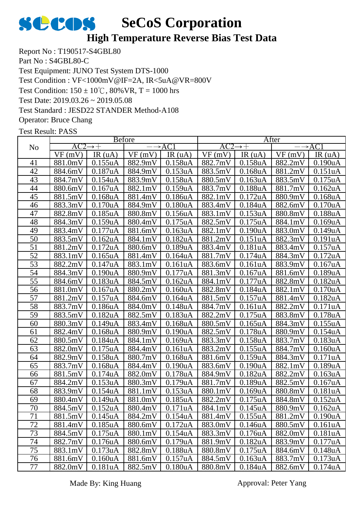

## **High Temperature Reverse Bias Test Data**

Report No : T190517-S4GBL80 Part No : S4GBL80-C Test Equipment: JUNO Test System DTS-1000 Test Condition:  $150 \pm 10^{\circ}$ C,  $80\%$  VR, T = 1000 hrs Test Date: 2019.03.26 ~ 2019.05.08 Test Standard : JESD22 STANDER Method-A108 Operator: Bruce Chang Test Condition : VF<1000mV@IF=2A, IR<5uA@VR=800V

|        | <b>B</b> efore |                      |                 |                      | After               |                      |         |                      |
|--------|----------------|----------------------|-----------------|----------------------|---------------------|----------------------|---------|----------------------|
| No     | AC2            | $\rightarrow +$      |                 | $\rightarrow$ AC1    | $AC2 \rightarrow +$ |                      |         | $\rightarrow$ ACI    |
|        | VF(mV)         | IR(uA)               | VF(mV)          | IR(uA)               | VF(mV)              | IR(uA)               | VF(mV)  | IR $(uA)$            |
| 41     | 881.0mV        | 0.155uA              | 882.9mV         | 0.158uA              | 882.7mV             | 0.158 <sub>u</sub> A | 882.2mV | 0.190 <sub>u</sub> A |
| 42     | 884.6mV        | 0.187uA              | 884.9mV         | 0.153uA              | 883.5mV             | 0.168uA              | 881.2mV | 0.151uA              |
| 43     | 884.7mV        | 0.154uA              | 883.9mV         | 0.158uA              | 880.5mV             | 0.163uA              | 883.5mV | 0.175uA              |
| 44     | 880.6mV        | 0.167uA              | 882.1mV         | 0.159uA              | 883.7mV             | 0.188uA              | 881.7mV | 0.162 <sub>u</sub> A |
| 45     | 881.5mV        | 0.168uA              | 881.4mV         | 0.186uA              | 882.1mV             | 0.172uA              | 880.9mV | 0.168uA              |
| 46     | 883.3mV        | 0.170 <sub>u</sub> A | 884.9mV         | 0.180uA              | 883.4mV             | 0.184uA              | 882.6mV | 0.170 <sub>u</sub> A |
| 47     | 882.8mV        | 0.185 <sub>u</sub> A | 880.8mV         | 0.156uA              | 883.1mV             | 0.153uA              | 880.8mV | 0.188uA              |
| 48     | 884.3mV        | 0.159uA              | 880.4mV         | 0.175uA              | $882.5 \text{mV}$   | 0.175uA              | 884.1mV | 0.169uA              |
| 49     | 883.4mV        | 0.177uA              | 881.6mV         | 0.163uA              | 882.1mV             | 0.190uA              | 883.0mV | 0.149uA              |
| 50     | 883.5mV        | 0.162 <sub>u</sub> A | 884.1mV         | 0.182uA              | 881.2mV             | 0.151uA              | 882.3mV | 0.191uA              |
| 51     | 881.2mV        | 0.172uA              | 880.6mV         | 0.189uA              | 883.4mV             | 0.181uA              | 883.4mV | 0.157uA              |
| 52     | 883.1mV        | $0.165$ uA           | 881.4mV         | 0.164uA              | 881.7mV             | 0.174uA              | 884.3mV | 0.172uA              |
| 53     | 882.2mV        | 0.147uA              | 883.1mV         | 0.161uA              | 883.6mV             | 0.161uA              | 883.9mV | 0.167uA              |
| 54     | 884.3mV        | 0.190uA              | 880.9mV         | 0.177uA              | 881.3mV             | 0.167uA              | 881.6mV | 0.189uA              |
| 55     | 884.6mV        | 0.183uA              | 884.5mV         | 0.162 <sub>u</sub> A | 884.1mV             | 0.177uA              | 882.8mV | 0.182uA              |
| 56     | 881.0mV        | 0.167uA              | 880.2mV         | 0.160 <sub>u</sub> A | 882.8mV             | 0.184uA              | 882.1mV | 0.170uA              |
| 57     | 881.2mV        | 0.157uA              | 884.6mV         | 0.164uA              | 881.5mV             | 0.157uA              | 881.4mV | 0.182uA              |
| 58     | 883.7mV        | 0.186uA              | 884.0mV         | 0.148uA              | 884.7mV             | 0.161uA              | 882.2mV | 0.171uA              |
| 59     | 883.5mV        | 0.182uA              | 882.5mV         | 0.183uA              | 882.2mV             | 0.175uA              | 883.8mV | 0.178uA              |
| 60     | 880.3mV        | 0.149uA              | 883.4mV         | $0.168u$ A           | 880.5mV             | $0.165$ uA           | 884.3mV | 0.155uA              |
| 61     | 882.4mV        | 0.168uA              | 880.9mV         | 0.190 <sub>u</sub> A | 882.5mV             | 0.178uA              | 880.9mV | 0.154uA              |
| 62     | 880.5mV        | 0.184uA              | 884.1mV         | 0.169uA              | 883.3mV             | 0.158uA              | 883.7mV | 0.183uA              |
| 63     | 882.0mV        | 0.175uA              | 884.4mV         | 0.161uA              | 883.2mV             | 0.155uA              | 884.7mV | 0.160 <sub>u</sub> A |
| 64     | 882.9mV        | 0.158uA              | 880.7mV         | 0.168 <sub>u</sub> A | 881.6mV             | 0.159uA              | 884.3mV | 0.171uA              |
| 65     | 883.7mV        | 0.168uA              | 884.4mV         | 0.190uA              | 883.6mV             | 0.190 <sub>u</sub> A | 882.1mV | 0.189uA              |
| 66     | 881.5mV        | 0.174uA              | 882.0mV         | 0.178uA              | 884.9mV             | 0.182 <sub>u</sub> A | 882.2mV | 0.163uA              |
| 67     | 884.2mV        | 0.153uA              | 880.3mV         | 0.179uA              | 881.7mV             | 0.189uA              | 882.5mV | 0.167uA              |
| 68     | 883.9mV        | 0.154uA              | 881.1mV         | 0.153uA              | 880.1mV             | 0.169uA              | 880.8mV | 0.181uA              |
| 69     | 880.4mV        | 0.149uA              | 881.0mV         | 0.185uA              | 882.2mV             | 0.175uA              | 884.8mV | 0.152 <sub>u</sub> A |
| $70\,$ | 884.5mV        | 0.152uA              | 880.4mV 0.171uA |                      | 884.1mV             | $0.145$ uA           | 880.9mV | $0.162$ uA           |
| 71     | 881.5mV        | 0.145uA              | 884.2mV         | 0.154uA              | 881.4mV             | 0.155uA              | 881.2mV | 0.190 <sub>u</sub> A |
| 72     | 881.4mV        | 0.185 <sub>u</sub> A | 880.6mV         | 0.172uA              | 883.0mV             | 0.146 <sub>u</sub> A | 880.5mV | 0.161uA              |
| 73     | 884.5mV        | 0.175uA              | 880.1mV         | 0.154uA              | 883.3mV             | 0.176uA              | 882.0mV | 0.181 <sub>u</sub> A |
| 74     | 882.7mV        | 0.176uA              | 880.6mV         | 0.179uA              | 881.9mV             | 0.182 <sub>u</sub> A | 883.9mV | 0.177uA              |
| 75     | 883.1mV        | 0.173uA              | 882.8mV         | 0.188uA              | 880.8mV             | 0.175uA              | 884.6mV | 0.148uA              |
| 76     | 881.6mV        | 0.160 <sub>u</sub> A | 881.6mV         | 0.157uA              | 884.5mV             | 0.163uA              | 883.7mV | 0.173uA              |
| 77     | 882.0mV        | 0.181uA              | 882.5mV         | 0.180 <sub>u</sub> A | 880.8mV             | 0.184 <sub>u</sub> A | 882.6mV | 0.174uA              |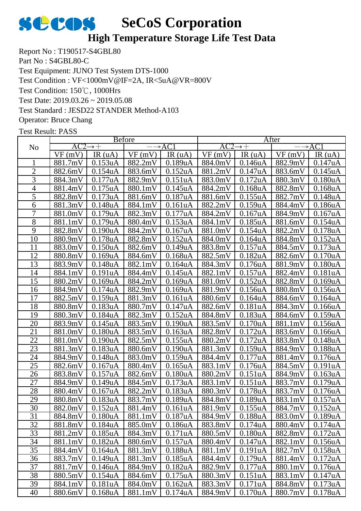

### **High Temperature Storage Life Test Data**

Report No : T190517-S4GBL80 Part No : S4GBL80-C Test Equipment: JUNO Test System DTS-1000 Test Condition: 150℃, 1000Hrs Test Date: 2019.03.26 ~ 2019.05.08 Test Standard : JESD22 STANDER Method-A103 Operator: Bruce Chang Test Condition : VF<1000mV@IF=2A, IR<5uA@VR=800V

|                 |         | <b>Before</b>        |                           |                      | After   |                      |                 |                      |
|-----------------|---------|----------------------|---------------------------|----------------------|---------|----------------------|-----------------|----------------------|
| N <sub>o</sub>  | AC2     | $\rightarrow +$      | $\rightarrow$ AC1         |                      | AC2     | $\rightarrow +$      |                 | $\rightarrow$ AC1    |
|                 | VF(mV)  | IR $(uA)$            | VF(mV)                    | IR(uA)               | VF(mV)  | IR(uA)               | VF(mV)          | IR(uA)               |
| 1               | 881.7mV | 0.153uA              | 882.2mV                   | 0.189uA              | 884.0mV | 0.146uA              | 882.9mV         | 0.147uA              |
| $\overline{2}$  | 882.6mV | 0.154uA              | 883.6mV                   | 0.152 <sub>u</sub> A | 881.2mV | 0.147uA              | 883.6mV         | 0.145uA              |
| $\overline{3}$  | 884.3mV | 0.177uA              | 882.9mV                   | 0.151uA              | 883.0mV | 0.172uA              | 880.3mV         | 0.180uA              |
| $\overline{4}$  | 881.4mV | $0.175$ uA           | 880.1mV                   | 0.145uA              | 884.2mV | 0.168uA              | 882.8mV         | 0.168uA              |
| 5               | 882.8mV | 0.173uA              | 881.6mV                   | 0.187uA              | 881.6mV | 0.155uA              | 882.7mV         | 0.148 <sub>u</sub> A |
| 6               | 881.3mV | 0.148uA              | 884.1mV                   | 0.161uA              | 882.2mV | 0.159uA              | 884.4mV         | 0.186uA              |
| 7               | 881.0mV | 0.179uA              | 882.3mV                   | 0.177uA              | 884.2mV | $0.167$ uA           | 884.9mV         | 0.167uA              |
| $\overline{8}$  | 881.1mV | 0.179uA              | 880.4mV                   | 0.153uA              | 884.1mV | 0.185uA              | 881.6mV         | 0.154uA              |
| 9               | 882.8mV | 0.190uA              | 884.2mV                   | 0.167uA              | 881.0mV | 0.154uA              | 882.2mV         | 0.178uA              |
| 10              | 880.9mV | 0.178uA              | 882.8mV                   | 0.152 <sub>u</sub> A | 884.0mV | 0.164uA              | 884.8mV         | 0.152uA              |
| 11              | 883.0mV | 0.150uA              | 882.6mV                   | 0.149uA              | 883.8mV | 0.157uA              | 884.5mV         | 0.173uA              |
| 12              | 880.8mV | 0.169uA              | 884.6mV                   | $0.168$ u $A$        | 882.5mV | 0.182uA              | 882.6mV         | 0.170uA              |
| 13              | 883.9mV | 0.148uA              | 882.1mV                   | 0.164uA              | 884.3mV | 0.176uA              | 881.9mV         | 0.180 <sub>u</sub> A |
| 14              | 884.1mV | 0.191uA              | 884.4mV                   | 0.145uA              | 882.1mV | 0.157uA              | 882.4mV         | 0.181uA              |
| 15              | 880.2mV | 0.169uA              | 884.2mV                   | 0.169uA              | 881.0mV | 0.152uA              | 882.8mV         | 0.169uA              |
| 16              | 884.9mV | 0.174uA              | 882.9mV                   | 0.169uA              | 881.9mV | 0.156uA              | 880.8mV         | 0.156uA              |
| 17              | 882.5mV | 0.159uA              | 881.3mV                   | 0.161uA              | 880.6mV | 0.164uA              | 884.6mV         | 0.164uA              |
| 18              | 880.8mV | 0.183uA              | 880.7mV                   | 0.147uA              | 882.6mV | 0.181uA              | 884.3mV         | 0.166uA              |
| 19              | 880.3mV | 0.184 <sub>u</sub> A | 882.3mV                   | 0.152uA              | 884.8mV | 0.183uA              | 884.6mV         | 0.159uA              |
| 20              | 883.9mV | 0.145uA              | 883.5mV                   | 0.190uA              | 883.5mV | 0.170uA              | 881.1mV         | 0.156uA              |
| 21              | 881.0mV | 0.180uA              | 883.5mV                   | 0.163uA              | 882.8mV | 0.172uA              | 883.6mV         | 0.166uA              |
| $\overline{22}$ | 881.0mV | 0.190 <sub>u</sub> A | 882.5mV                   | 0.155uA              | 880.2mV | 0.172uA              | 883.8mV         | 0.148uA              |
| 23              | 881.3mV | 0.183uA              | 880.6mV                   | 0.190uA              | 881.3mV | 0.159uA              | 884.9mV         | 0.188uA              |
| 24              | 884.9mV | 0.148uA              | 883.0mV                   | 0.159uA              | 884.4mV | 0.177uA              | 881.4mV         | 0.176uA              |
| 25              | 882.6mV | 0.167uA              | 880.4mV                   | $0.165$ uA           | 883.1mV | 0.176uA              | 884.5mV         | 0.191uA              |
| 26              | 883.8mV | 0.157uA              | 882.6mV                   | 0.180 <sub>u</sub> A | 880.2mV | 0.151uA              | 884.9mV         | 0.163uA              |
| 27              | 884.9mV | 0.149uA              | 884.5mV                   | 0.173uA              | 883.1mV | 0.151uA              | 883.7mV         | 0.179uA              |
| 28              | 880.4mV | 0.167uA              | 882.2mV                   | 0.183uA              | 880.3mV | 0.178uA              | 883.7mV         | 0.176uA              |
| 29              | 880.8mV | 0.183uA              | 883.7mV                   | 0.189uA              | 884.8mV | 0.189uA              | 883.1mV         | 0.157uA              |
| 30              |         | 882.0mV 0.152uA      | $881.4 \text{mV}$ 0.161uA |                      |         | $881.9mV$ 0.155uA    | 884.7mV 0.152uA |                      |
| 31              | 884.8mV | 0.180 <sub>u</sub> A | 881.1mV                   | 0.187uA              | 884.9mV | 0.188uA              | 883.0mV         | 0.189uA              |
| 32              | 881.8mV | 0.184uA              | 885.0mV                   | 0.186uA              | 883.8mV | 0.174uA              | 880.4mV         | 0.174uA              |
| 33              | 881.2mV | 0.185 <sub>u</sub> A | 884.3mV                   | 0.171uA              | 880.5mV | 0.180 <sub>u</sub> A | 882.8mV         | 0.172 <sub>u</sub> A |
| 34              | 881.1mV | 0.182 <sub>u</sub> A | 880.6mV                   | 0.157uA              | 880.4mV | 0.147uA              | 882.1mV         | 0.156uA              |
| 35              | 884.4mV | 0.164uA              | 881.3mV                   | 0.188uA              | 881.1mV | 0.191uA              | 882.7mV         | 0.158uA              |
| 36              | 883.7mV | 0.149uA              | 881.3mV                   | 0.185 <sub>u</sub> A | 884.4mV | 0.179uA              | 881.4mV         | 0.172 <sub>u</sub> A |
| 37              | 881.7mV | 0.146uA              | 884.9mV                   | 0.182 <sub>u</sub> A | 882.9mV | 0.177uA              | 880.1mV         | 0.176uA              |
| 38              | 880.5mV | 0.154uA              | 884.6mV                   | 0.175uA              | 880.3mV | 0.151uA              | 883.1mV         | 0.147uA              |
| 39              | 884.1mV | 0.181uA              | 884.0mV                   | 0.162 <sub>u</sub> A | 883.3mV | 0.171uA              | 884.8mV         | 0.173uA              |
| 40              | 880.6mV | 0.168 <sub>u</sub> A | 881.1mV                   | 0.174uA              | 884.9mV | 0.170uA              | 880.7mV         | 0.178uA              |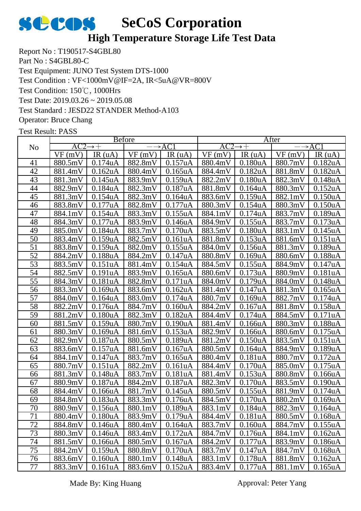

## **High Temperature Storage Life Test Data**

Report No : T190517-S4GBL80 Part No : S4GBL80-C Test Equipment: JUNO Test System DTS-1000 Test Condition: 150℃, 1000Hrs Test Date: 2019.03.26 ~ 2019.05.08 Test Standard : JESD22 STANDER Method-A103 Operator: Bruce Chang Test Condition : VF<1000mV@IF=2A, IR<5uA@VR=800V

|                 | <b>Before</b>       |                      |                   |                      | After               |                      |                 |                      |  |
|-----------------|---------------------|----------------------|-------------------|----------------------|---------------------|----------------------|-----------------|----------------------|--|
| N <sub>0</sub>  | $AC2 \rightarrow +$ |                      | $\rightarrow$ AC1 |                      | $AC2 \rightarrow +$ |                      |                 | $\rightarrow$ AC1    |  |
|                 | VF(mV)              | IR(uA)               | VF(mV)            | IR(uA)               | VF(mV)              | IR $(uA)$            | VF(mV)          | IR(uA)               |  |
| 41              | 880.5mV             | 0.174uA              | 882.8mV           | 0.157uA              | 880.4mV             | 0.180uA              | 880.7mV         | 0.182uA              |  |
| 42              | 881.4mV             | 0.162 <sub>u</sub> A | 880.4mV           | 0.165uA              | 884.4mV             | 0.182 <sub>u</sub> A | 881.8mV         | 0.182 <sub>u</sub> A |  |
| 43              | 881.3mV             | 0.145uA              | 883.9mV           | 0.159uA              | 882.2mV             | 0.180uA              | 882.3mV         | 0.148uA              |  |
| 44              | 882.9mV             | 0.184uA              | 882.3mV           | 0.187uA              | 881.8mV             | 0.164uA              | 880.3mV         | 0.152uA              |  |
| 45              | 881.3mV             | 0.154uA              | 882.3mV           | 0.164 <sub>u</sub> A | 883.6mV             | 0.159uA              | 882.1mV         | 0.150uA              |  |
| 46              | 883.8mV             | 0.177uA              | 882.8mV           | 0.177uA              | 880.3mV             | 0.154uA              | 880.3mV         | 0.150uA              |  |
| 47              | 884.1mV             | 0.154uA              | 883.3mV           | 0.155uA              | 884.1mV             | 0.174uA              | 883.7mV         | 0.189uA              |  |
| 48              | 884.3mV             | 0.177uA              | 883.9mV           | 0.146uA              | 884.9mV             | 0.155uA              | 883.7mV         | 0.173 <sub>u</sub> A |  |
| 49              | 885.0mV             | 0.184uA              | 883.7mV           | 0.170uA              | 883.5mV             | 0.180 <sub>u</sub> A | 883.1mV         | 0.145uA              |  |
| 50              | 883.4mV             | 0.159uA              | 882.5mV           | 0.161uA              | 881.8mV             | 0.153uA              | 881.6mV         | 0.151uA              |  |
| 51              | 883.8mV             | 0.159uA              | 882.0mV           | 0.155uA              | 884.0mV             | 0.156uA              | 881.3mV         | 0.189uA              |  |
| 52              | 884.2mV             | 0.188uA              | 884.2mV           | 0.147uA              | 880.8mV             | 0.169uA              | 880.6mV         | 0.188uA              |  |
| 53              | 883.5mV             | 0.151uA              | 881.4mV           | 0.154uA              | 884.5mV             | 0.155uA              | 884.9mV         | 0.147uA              |  |
| 54              | 882.5mV             | 0.191uA              | 883.9mV           | $0.165$ uA           | 880.6mV             | 0.173uA              | 880.9mV         | 0.181uA              |  |
| 55              | 884.3mV             | 0.181uA              | 882.8mV           | 0.171uA              | 884.0mV             | 0.179uA              | 884.0mV         | 0.148uA              |  |
| $\overline{56}$ | 883.3mV             | 0.169uA              | 883.6mV           | 0.162 <sub>u</sub> A | 881.4mV             | 0.147uA              | 881.3mV         | $0.165$ uA           |  |
| 57              | 884.0mV             | 0.164uA              | 883.0mV           | 0.174uA              | 880.7mV             | 0.169uA              | 882.7mV         | 0.174uA              |  |
| 58              | 882.2mV             | 0.176uA              | 884.7mV           | 0.160uA              | 884.2mV             | $0.167$ uA           | 881.8mV         | 0.158uA              |  |
| 59              | 881.2mV             | 0.180 <sub>u</sub> A | 882.3mV           | 0.182 <sub>u</sub> A | 884.4mV             | 0.174uA              | 884.5mV         | 0.171uA              |  |
| 60              | 881.5mV             | 0.159uA              | 880.7mV           | 0.190 <sub>u</sub> A | 881.4mV             | 0.166uA              | 880.3mV         | 0.188uA              |  |
| 61              | 880.3mV             | 0.169uA              | 881.6mV           | 0.153uA              | 882.9mV             | 0.166uA              | 880.6mV         | 0.175uA              |  |
| 62              | 882.9mV             | 0.187uA              | 880.5mV           | 0.189uA              | 881.2mV             | 0.150 <sub>u</sub> A | 883.5mV         | 0.151uA              |  |
| 63              | 883.6mV             | 0.157uA              | 881.6mV           | $0.167$ uA           | 880.5mV             | 0.164uA              | 884.9mV         | 0.189uA              |  |
| 64              | 884.1mV             | 0.147uA              | 883.7mV           | $0.165$ uA           | 880.4mV             | 0.181uA              | 880.7mV         | 0.172 <sub>u</sub> A |  |
| 65              | 880.7mV             | 0.151uA              | 882.2mV           | 0.161uA              | 884.4mV             | 0.170uA              | 885.0mV         | 0.175uA              |  |
| 66              | 881.3mV             | 0.148uA              | 883.7mV           | 0.181uA              | 881.4mV             | 0.153uA              | 880.8mV         | 0.166uA              |  |
| 67              | 880.9mV             | 0.187uA              | 884.2mV           | 0.187uA              | 882.3mV             | 0.170 <sub>u</sub> A | 883.5mV         | 0.190uA              |  |
| 68              | 884.4mV             | 0.166uA              | 881.7mV           | 0.145uA              | 880.5mV             | 0.155uA              | 881.9mV         | 0.174uA              |  |
| 69              | 884.8mV             | 0.183uA              | 883.3mV           | 0.176uA              | 884.5mV             | 0.170uA              | 880.2mV         | 0.169uA              |  |
| $70\,$          |                     | 880.9mV 0.156uA      | 880.1mV 0.189uA   |                      | 883.1mV 0.184uA     |                      | 882.3mV 0.164uA |                      |  |
| 71              | 880.4mV             | 0.180 <sub>u</sub> A | 883.9mV           | 0.179uA              | 884.4mV             | 0.181uA              | 880.5mV         | 0.168 <sub>u</sub> A |  |
| 72              | 884.8mV             | 0.146uA              | 880.4mV           | 0.164uA              | 883.7mV             | 0.160 <sub>u</sub> A | 884.7mV         | 0.155uA              |  |
| 73              | 880.3mV             | 0.146uA              | 883.4mV           | 0.172uA              | 884.7mV             | 0.176uA              | 884.1mV         | 0.162 <sub>u</sub> A |  |
| 74              | 881.5mV             | 0.166uA              | 880.5mV           | 0.167uA              | 884.2mV             | 0.177uA              | 883.9mV         | 0.186uA              |  |
| 75              | 884.2mV             | 0.159uA              | 880.8mV           | 0.170 <sub>u</sub> A | 883.7mV             | 0.147uA              | 884.7mV         | 0.168 <sub>u</sub> A |  |
| 76              | 883.6mV             | 0.160 <sub>u</sub> A | 880.1mV           | 0.148uA              | 883.1mV             | 0.178uA              | 881.8mV         | 0.162 <sub>u</sub> A |  |
| 77              | 883.3mV             | 0.161uA              | 883.6mV           | 0.152uA              | 883.4mV             | 0.177uA              | 881.1mV         | $0.165$ uA           |  |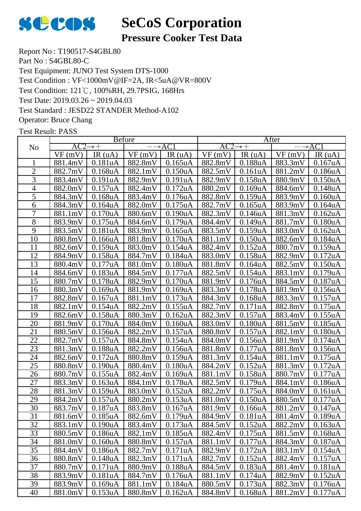

## **Pressure Cooker Test Data**

Report No : T190517-S4GBL80 Part No : S4GBL80-C Test Equipment: JUNO Test System DTS-1000 Test Condition: 121℃, 100%RH, 29.7PSIG, 168Hrs Test Date: 2019.03.26 ~ 2019.04.03 Test Standard : JESD22 STANDER Method-A102 Operator: Bruce Chang Test Condition : VF<1000mV@IF=2A, IR<5uA@VR=800V

|                 |         |                           | <b>Before</b> |                      |         |                      | After   |                      |
|-----------------|---------|---------------------------|---------------|----------------------|---------|----------------------|---------|----------------------|
| N <sub>o</sub>  | AC2     | $\rightarrow +$           |               | $\rightarrow$ AC1    | AC2     | $\rightarrow +$      |         | $\rightarrow$ AC1    |
|                 | VF(mV)  | IR(uA)                    | VF(mV)        | IR $(uA)$            | VF(mV)  | IR $(uA)$            | VF(mV)  | IR(uA)               |
|                 | 881.4mV | 0.181uA                   | 882.8mV       | 0.165uA              | 882.8mV | 0.188uA              | 883.3mV | 0.167uA              |
| $\overline{2}$  | 882.7mV | 0.168uA                   | 882.1mV       | 0.150uA              | 882.5mV | 0.161uA              | 881.2mV | 0.186uA              |
| 3               | 883.4mV | 0.191uA                   | 882.9mV       | 0.191uA              | 882.9mV | 0.158uA              | 880.9mV | 0.150uA              |
| $\overline{4}$  | 882.0mV | 0.157uA                   | 882.4mV       | 0.172 <sub>u</sub> A | 880.2mV | 0.169uA              | 884.6mV | 0.148uA              |
| 5               | 884.3mV | $0.168$ u $A$             | 883.4mV       | 0.176uA              | 882.8mV | 0.159uA              | 883.9mV | 0.160uA              |
| 6               | 884.3mV | 0.164uA                   | 882.0mV       | $0.175$ uA           | 882.7mV | $0.165$ uA           | 883.9mV | 0.164uA              |
| 7               | 881.1mV | 0.170 <sub>u</sub> A      | 880.6mV       | 0.190 <sub>u</sub> A | 882.3mV | 0.146uA              | 881.3mV | 0.162 <sub>u</sub> A |
| 8               | 883.9mV | $0.175$ uA                | 884.6mV       | 0.179uA              | 884.4mV | 0.149uA              | 881.7mV | 0.180uA              |
| 9               | 883.5mV | 0.181uA                   | 883.9mV       | 0.165uA              | 883.5mV | 0.159uA              | 883.0mV | 0.162uA              |
| 10              | 880.8mV | 0.166uA                   | 881.8mV       | 0.170uA              | 881.1mV | 0.150uA              | 882.6mV | 0.184uA              |
| 11              | 882.6mV | 0.159uA                   | 883.0mV       | 0.154uA              | 882.4mV | 0.152uA              | 880.7mV | 0.159uA              |
| 12              | 884.9mV | 0.158uA                   | 884.7mV       | 0.184uA              | 883.0mV | 0.158uA              | 882.9mV | 0.172uA              |
| 13              | 880.4mV | 0.177uA                   | 881.0mV       | 0.180uA              | 881.8mV | 0.164uA              | 882.5mV | 0.150uA              |
| 14              | 884.6mV | 0.183uA                   | 884.5mV       | 0.177uA              | 882.5mV | 0.154uA              | 883.1mV | 0.179uA              |
| 15              | 880.7mV | 0.178uA                   | 882.9mV       | 0.170uA              | 881.9mV | 0.176uA              | 884.5mV | 0.187uA              |
| 16              | 880.3mV | 0.169uA                   | 881.9mV       | 0.169uA              | 883.3mV | 0.178uA              | 881.9mV | 0.156uA              |
| 17              | 882.8mV | 0.167uA                   | 881.1mV       | 0.173uA              | 884.3mV | 0.168uA              | 883.3mV | 0.157uA              |
| 18              | 882.1mV | 0.154uA                   | 882.2mV       | 0.155uA              | 882.7mV | 0.171uA              | 882.8mV | 0.175uA              |
| 19              | 882.6mV | 0.158uA                   | 880.3mV       | 0.162uA              | 882.3mV | 0.157uA              | 883.4mV | 0.155uA              |
| 20              | 881.9mV | 0.170 <sub>u</sub> A      | 884.0mV       | $0.160u$ A           | 883.0mV | 0.180 <sub>u</sub> A | 881.5mV | 0.185uA              |
| 21              | 880.5mV | 0.156uA                   | 882.2mV       | 0.157uA              | 880.8mV | 0.157uA              | 882.1mV | 0.180uA              |
| $\overline{22}$ | 882.7mV | 0.157uA                   | 884.8mV       | 0.154uA              | 884.0mV | 0.156uA              | 881.9mV | 0.174uA              |
| 23              | 881.3mV | $0.188$ u $\underline{A}$ | 882.2mV       | 0.156uA              | 881.8mV | 0.177uA              | 881.8mV | 0.156uA              |
| 24              | 882.6mV | 0.172uA                   | 880.8mV       | 0.159uA              | 881.3mV | 0.154uA              | 881.1mV | 0.175uA              |
| 25              | 880.8mV | 0.190 <sub>u</sub> A      | 880.4mV       | 0.180uA              | 884.2mV | 0.152 <sub>u</sub> A | 881.3mV | 0.172 <sub>u</sub> A |
| 26              | 880.7mV | 0.155uA                   | 882.4mV       | 0.169uA              | 881.1mV | 0.158uA              | 880.7mV | 0.177uA              |
| 27              | 883.3mV | 0.163uA                   | 884.1mV       | 0.178uA              | 882.5mV | 0.179uA              | 884.1mV | $0.186$ uA           |
| 28              | 881.3mV | 0.159uA                   | 883.0mV       | 0.152 <sub>u</sub> A | 882.2mV | 0.175uA              | 884.0mV | 0.161uA              |
| 29              | 884.2mV | 0.157uA                   | 880.2mV       | 0.153uA              | 881.0mV | 0.150uA              | 880.5mV | 0.177uA              |
| 30              | 883.7mV | 0.187uA                   | 883.8mV       | 0.167uA              | 881.9mV | 0.166uA              | 881.2mV | 0.147uA              |
| 31              | 881.6mV | 0.185uA                   | 882.6mV       | 0.179uA              | 884.9mV | 0.181uA              | 881.4mV | 0.189uA              |
| 32              | 883.1mV | 0.190 <sub>u</sub> A      | 883.4mV       | 0.173uA              | 884.5mV | 0.152 <sub>u</sub> A | 882.2mV | 0.163uA              |
| 33              | 880.5mV | 0.186 <sub>u</sub> A      | 882.1mV       | 0.185 <sub>u</sub> A | 882.4mV | 0.175uA              | 881.5mV | 0.168uA              |
| 34              | 881.0mV | 0.160 <sub>u</sub> A      | 880.8mV       | 0.157uA              | 881.1mV | 0.177uA              | 884.3mV | 0.187uA              |
| 35              | 884.4mV | 0.186 <sub>u</sub> A      | 882.7mV       | 0.171uA              | 882.9mV | 0.172 <sub>u</sub> A | 883.1mV | 0.154uA              |
| 36              | 880.8mV | 0.148uA                   | 882.3mV       | 0.171uA              | 882.7mV | 0.152 <sub>u</sub> A | 882.4mV | 0.157uA              |
| 37              | 880.7mV | 0.171uA                   | 880.9mV       | 0.188uA              | 884.5mV | 0.183uA              | 881.4mV | 0.181uA              |
| 38              | 883.9mV | 0.181uA                   | 884.7mV       | 0.176uA              | 881.1mV | 0.174uA              | 882.9mV | 0.152uA              |
| 39              | 883.9mV | 0.169uA                   | 881.1mV       | 0.184uA              | 880.5mV | 0.173uA              | 882.3mV | 0.176uA              |
| 40              | 881.0mV | 0.153uA                   | 880.8mV       | 0.162 <sub>u</sub> A | 884.8mV | 0.168 <sub>u</sub> A | 881.2mV | 0.177uA              |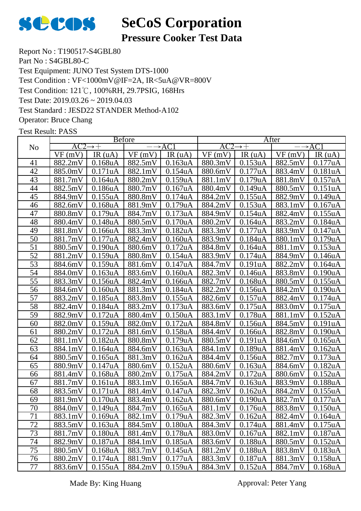

## **Pressure Cooker Test Data**

Report No : T190517-S4GBL80 Part No : S4GBL80-C Test Equipment: JUNO Test System DTS-1000 Test Condition: 121℃, 100%RH, 29.7PSIG, 168Hrs Test Date: 2019.03.26 ~ 2019.04.03 Test Standard : JESD22 STANDER Method-A102 Operator: Bruce Chang Test Condition : VF<1000mV@IF=2A, IR<5uA@VR=800V

|                 |         |                           | <b>Before</b> |                      | After               |                      |         |                      |
|-----------------|---------|---------------------------|---------------|----------------------|---------------------|----------------------|---------|----------------------|
| No              | AC2     | $\rightarrow +$           |               | $\rightarrow$ AC1    | $AC2 \rightarrow +$ |                      |         | $\rightarrow$ AC1    |
|                 | VF(mV)  | IR(uA)                    | VF(mV)        | IR $(uA)$            | VF(mV)              | IR(uA)               | VF(mV)  | IR(uA)               |
| 41              | 882.2mV | 0.168uA                   | 882.5mV       | 0.163uA              | 880.3mV             | 0.153uA              | 882.5mV | 0.177uA              |
| 42              | 885.0mV | 0.171uA                   | 882.1mV       | 0.154uA              | 880.6mV             | 0.177uA              | 883.4mV | 0.181uA              |
| 43              | 881.7mV | 0.164uA                   | 880.2mV       | 0.159uA              | 881.1mV             | 0.179uA              | 881.8mV | 0.157uA              |
| 44              | 882.5mV | 0.186uA                   | 880.7mV       | 0.167uA              | 880.4mV             | 0.149uA              | 880.5mV | 0.151uA              |
| 45              | 884.9mV | 0.155uA                   | 880.8mV       | 0.174uA              | 884.2mV             | 0.155uA              | 882.9mV | 0.149uA              |
| 46              | 882.6mV | 0.168uA                   | 881.9mV       | 0.179uA              | 884.2mV             | 0.153uA              | 883.1mV | 0.167uA              |
| 47              | 880.8mV | 0.179uA                   | 884.7mV       | 0.173uA              | 884.9mV             | 0.154uA              | 882.4mV | 0.155uA              |
| 48              | 880.4mV | 0.148uA                   | 880.5mV       | 0.170uA              | 880.2mV             | 0.164uA              | 883.2mV | 0.184uA              |
| 49              | 881.8mV | $0.166$ u $A$             | 883.3mV       | 0.182 <sub>u</sub> A | 883.3mV             | 0.177uA              | 883.9mV | 0.147uA              |
| $\overline{50}$ | 881.7mV | 0.177uA                   | 882.4mV       | 0.160 <sub>u</sub> A | 883.9mV             | 0.184uA              | 880.1mV | 0.179uA              |
| 51              | 880.5mV | 0.190 <sub>u</sub> A      | 880.6mV       | 0.172uA              | 884.8mV             | 0.164uA              | 881.1mV | 0.153uA              |
| $\overline{52}$ | 881.2mV | 0.159uA                   | 880.8mV       | 0.154uA              | 883.9mV             | 0.174uA              | 884.9mV | 0.146uA              |
| 53              | 884.6mV | 0.159uA                   | 881.6mV       | 0.147uA              | 884.7mV             | 0.191uA              | 882.2mV | 0.164uA              |
| 54              | 884.0mV | 0.163uA                   | 883.6mV       | 0.160uA              | 882.3mV             | 0.146uA              | 883.8mV | 0.190uA              |
| $\overline{55}$ | 883.3mV | 0.156uA                   | 882.4mV       | 0.166uA              | 882.7mV             | 0.168uA              | 880.5mV | 0.155uA              |
| 56              | 884.6mV | 0.160 <sub>u</sub> A      | 881.3mV       | 0.184 <sub>u</sub> A | 882.2mV             | $0.156$ uA           | 884.2mV | 0.190uA              |
| 57              | 883.2mV | 0.185uA                   | 883.8mV       | 0.155uA              | 882.6mV             | 0.157uA              | 882.4mV | 0.174uA              |
| 58              | 882.4mV | $0.184$ u $\underline{A}$ | 883.2mV       | 0.173uA              | 883.6mV             | 0.175uA              | 883.0mV | 0.175uA              |
| 59              | 882.9mV | 0.172uA                   | 880.4mV       | 0.150uA              | 883.1mV             | 0.178uA              | 881.1mV | 0.152uA              |
| 60              | 882.0mV | 0.159uA                   | 882.0mV       | 0.172 <sub>u</sub> A | 884.8mV             | 0.156uA              | 884.5mV | 0.191uA              |
| 61              | 880.2mV | 0.172uA                   | 881.6mV       | 0.158uA              | 884.4mV             | 0.166uA              | 882.8mV | 0.190uA              |
| 62              | 881.1mV | 0.182uA                   | 880.8mV       | 0.179uA              | 880.5mV             | 0.191uA              | 884.6mV | $0.165$ uA           |
| 63              | 884.1mV | 0.164uA                   | 884.6mV       | 0.163uA              | 884.1mV             | 0.189uA              | 881.4mV | 0.162 <sub>u</sub> A |
| 64              | 880.5mV | 0.165uA                   | 881.3mV       | 0.162uA              | 884.4mV             | 0.156uA              | 882.7mV | 0.173uA              |
| 65              | 880.9mV | 0.147uA                   | 880.6mV       | 0.152 <sub>u</sub> A | 880.6mV             | 0.163uA              | 884.6mV | 0.182uA              |
| 66              | 881.4mV | 0.168 <sub>u</sub> A      | 880.2mV       | 0.175uA              | 884.2mV             | 0.172 <sub>u</sub> A | 880.6mV | 0.152 <sub>u</sub> A |
| 67              | 881.7mV | 0.161uA                   | 883.1mV       | $0.165$ uA           | 884.7mV             | 0.163uA              | 883.9mV | 0.188uA              |
| 68              | 883.5mV | 0.171uA                   | 881.4mV       | 0.147uA              | 882.3mV             | 0.162 <sub>u</sub> A | 884.2mV | 0.155uA              |
| 69              | 881.9mV | 0.170 <sub>u</sub> A      | 883.4mV       | 0.162 <sub>u</sub> A | 880.6mV             | 0.190uA              | 882.7mV | 0.177uA              |
| $70\,$          | 884.0mV | 0.149uA                   | 884.7mV       | 0.165uA              | 881.1mV             | 0.176uA              | 883.8mV | 0.150uA              |
| 71              | 883.1mV | 0.169uA                   | 882.1mV       | 0.179uA              | 882.3mV             | 0.162 <sub>u</sub> A | 882.4mV | 0.164 <sub>u</sub> A |
| 72              | 883.5mV | 0.163uA                   | 884.5mV       | 0.180 <sub>u</sub> A | 884.3mV             | 0.174 <sub>u</sub> A | 881.4mV | 0.175uA              |
| 73              | 881.7mV | 0.180uA                   | 881.4mV       | 0.178uA              | 883.0mV             | 0.167uA              | 882.1mV | 0.187uA              |
| 74              | 882.9mV | 0.187uA                   | 884.1mV       | 0.185 <sub>u</sub> A | 883.6mV             | 0.188uA              | 880.5mV | 0.152 <sub>u</sub> A |
| 75              | 880.5mV | 0.168uA                   | 883.7mV       | 0.145uA              | 881.2mV             | 0.188uA              | 883.8mV | 0.183uA              |
| 76              | 880.2mV | 0.174uA                   | 881.9mV       | 0.177uA              | 883.3mV             | 0.187uA              | 881.3mV | 0.158uA              |
| $77\,$          | 883.6mV | 0.155uA                   | 884.2mV       | 0.159uA              | 884.3mV             | 0.152uA              | 884.7mV | 0.168uA              |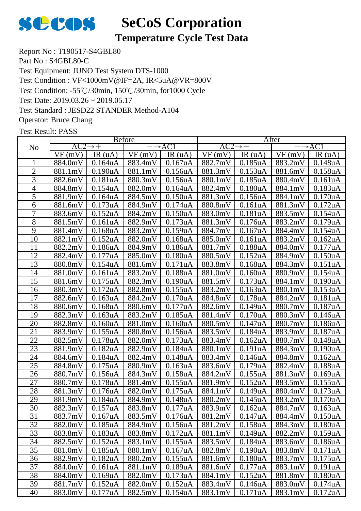

## **Temperature Cycle Test Data**

Report No : T190517-S4GBL80 Part No : S4GBL80-C Test Equipment: JUNO Test System DTS-1000 Test Condition: -55℃/30min, 150℃/30min, for1000 Cycle Test Date: 2019.03.26 ~ 2019.05.17 Test Standard : JESD22 STANDER Method-A104 Operator: Bruce Chang Test Condition : VF<1000mV@IF=2A, IR<5uA@VR=800V

|                 |                     |                      | <b>Before</b>   |                      | After               |                      |                 |                      |  |
|-----------------|---------------------|----------------------|-----------------|----------------------|---------------------|----------------------|-----------------|----------------------|--|
| N <sub>o</sub>  | $AC2 \rightarrow +$ |                      |                 | $\rightarrow$ AC1    | $AC2 \rightarrow +$ |                      |                 | $\rightarrow$ AC1    |  |
|                 | VF(mV)              | IR $(uA)$            | VF(mV)          | IR(uA)               | VF(mV)              | IR(uA)               | VF(mV)          | IR $(uA)$            |  |
|                 | 884.0mV             | 0.164uA              | 883.4mV         | $0.167$ uA           | 882.7mV             | 0.185uA              | 883.2mV         | 0.148uA              |  |
| $\overline{2}$  | 881.1mV             | 0.190uA              | 881.1mV         | 0.156uA              | 881.3mV             | 0.153uA              | 881.6mV         | 0.158uA              |  |
| 3               | 882.6mV             | 0.181uA              | 880.3mV         | 0.156uA              | 880.1mV             | 0.185uA              | 880.4mV         | 0.161uA              |  |
| $\overline{4}$  | 884.8mV             | 0.154uA              | 882.0mV         | 0.164uA              | 882.4mV             | 0.180uA              | 884.1mV         | 0.183uA              |  |
| $\overline{5}$  | 881.9mV             | 0.164uA              | 884.5mV         | 0.150 <sub>u</sub> A | 881.3mV             | 0.156uA              | 884.1mV         | 0.170 <sub>u</sub> A |  |
| 6               | 881.6mV             | 0.173uA              | 884.9mV         | 0.174uA              | 880.8mV             | 0.161uA              | 881.3mV         | 0.172uA              |  |
| 7               | 883.6mV             | 0.152 <sub>u</sub> A | 884.2mV         | 0.150 <sub>u</sub> A | 883.0mV             | 0.181uA              | 883.5mV         | 0.154uA              |  |
| $\overline{8}$  | 881.5mV             | 0.161uA              | 882.9mV         | 0.173uA              | 881.3mV             | 0.176uA              | 883.2mV         | 0.179uA              |  |
| $\overline{9}$  | 881.4mV             | $0.168$ u $A$        | 883.2mV         | 0.159uA              | 884.7mV             | 0.167uA              | 884.4mV         | 0.154uA              |  |
| 10              | 882.1mV             | 0.152 <sub>u</sub> A | 882.0mV         | $0.168u$ A           | 885.0mV             | 0.161uA              | 883.2mV         | 0.162 <sub>u</sub> A |  |
| 11              | 882.2mV             | 0.186uA              | 884.9mV         | 0.186uA              | 881.7mV             | 0.188uA              | 884.0mV         | 0.177uA              |  |
| 12              | 882.4mV             | 0.177uA              | 885.0mV         | 0.180 <sub>u</sub> A | 880.5mV             | 0.152 <sub>u</sub> A | 884.9mV         | 0.150 <sub>u</sub> A |  |
| 13              | 880.8mV             | 0.154uA              | 881.6mV         | 0.171uA              | 883.8mV             | 0.168uA              | 884.3mV         | 0.151uA              |  |
| 14              | 881.0mV             | 0.161uA              | 883.2mV         | 0.188uA              | 881.0mV             | 0.160uA              | 880.9mV         | 0.154uA              |  |
| 15              | 881.6mV             | 0.175uA              | 882.3mV         | 0.190 <sub>u</sub> A | 881.5mV             | 0.173uA              | 884.1mV         | 0.190 <sub>u</sub> A |  |
| 16              | 880.3mV             | 0.172 <sub>u</sub> A | 882.8mV         | 0.155uA              | 883.2mV             | 0.163uA              | 880.1mV         | 0.153uA              |  |
| 17              | 882.6mV             | 0.163uA              | 884.2mV         | 0.170uA              | 884.8mV             | 0.178uA              | 884.2mV         | 0.181uA              |  |
| 18              | 880.6mV             | 0.168uA              | 880.6mV         | 0.177uA              | 882.6mV             | 0.149uA              | 880.7mV         | 0.187uA              |  |
| 19              | 882.3mV             | 0.163uA              | 883.2mV         | 0.185uA              | 881.4mV             | 0.170 <sub>u</sub> A | 880.3mV         | 0.146uA              |  |
| 20              | 882.8mV             | 0.160uA              | 881.0mV         | 0.160uA              | 880.5mV             | 0.147uA              | 880.7mV         | 0.186uA              |  |
| 21              | 883.9mV             | 0.155uA              | 880.8mV         | 0.156uA              | 883.5mV             | 0.184uA              | 883.9mV         | 0.187uA              |  |
| $\overline{22}$ | 882.5mV             | 0.178uA              | 882.0mV         | 0.173uA              | 883.4mV             | 0.162 <sub>u</sub> A | 880.7mV         | 0.148 <sub>u</sub> A |  |
| 23              | 881.9mV             | 0.182uA              | 882.9mV         | 0.184uA              | 880.1mV             | 0.191uA              | 884.3mV         | 0.190uA              |  |
| 24              | 884.6mV             | 0.184uA              | 882.4mV         | 0.148uA              | 883.4mV             | 0.146uA              | 884.8mV         | 0.162uA              |  |
| 25              | 884.8mV             | 0.175uA              | 880.9mV         | 0.163uA              | 883.6mV             | 0.179uA              | 882.4mV         | 0.188uA              |  |
| 26              | 880.7mV             | 0.156uA              | 884.3mV         | 0.158uA              | 884.2mV             | 0.155uA              | 881.3mV         | 0.169uA              |  |
| $\overline{27}$ | 880.7mV             | 0.178uA              | 881.4mV         | 0.155uA              | 881.9mV             | 0.152uA              | 883.5mV         | 0.155uA              |  |
| 28              | 881.3mV             | 0.176uA              | 882.0mV         | 0.175uA              | 884.1mV             | 0.149uA              | 880.4mV         | 0.173uA              |  |
| 29              | 881.9mV             | 0.184uA              | 884.9mV         | 0.148uA              | 880.2mV             | 0.145uA              | 883.2mV         | 0.170uA              |  |
| 30              | 882.3mV             | 0.157uA              | 883.8mV 0.177uA |                      |                     | 883.9mV 0.162uA      | 884.7mV 0.163uA |                      |  |
| 31              | 883.7mV             | 0.167uA              | 883.5mV         | 0.176uA              | 881.2mV             | 0.147uA              | 884.4mV         | 0.150 <sub>u</sub> A |  |
| 32              | 882.0mV             | 0.185uA              | 884.9mV         | 0.156uA              | 881.2mV             | 0.158uA              | 884.3mV         | 0.180 <sub>u</sub> A |  |
| 33              | 883.8mV             | 0.183uA              | 883.8mV         | 0.172 <sub>u</sub> A | 881.1mV             | 0.149uA              | 882.2mV         | 0.159uA              |  |
| 34              | 882.5mV             | 0.152uA              | 883.1mV         | 0.155uA              | 883.5mV             | 0.184uA              | 883.6mV         | 0.186 <sub>u</sub> A |  |
| 35              | 881.0mV             | 0.185 <sub>u</sub> A | 880.1mV         | 0.167uA              | 882.8mV             | 0.190uA              | 883.8mV         | 0.171uA              |  |
| 36              | 882.9mV             | 0.182 <sub>u</sub> A | 880.2mV         | 0.155uA              | 881.6mV             | 0.180 <sub>u</sub> A | 883.7mV         | 0.175uA              |  |
| 37              | 884.0mV             | 0.161uA              | 881.1mV         | 0.189uA              | 881.6mV             | 0.177uA              | 883.1mV         | 0.191uA              |  |
| 38              | 884.0mV             | 0.169uA              | 882.0mV         | 0.173uA              | 884.1mV             | 0.152 <sub>u</sub> A | 881.8mV         | 0.180 <sub>u</sub> A |  |
| 39              | 881.7mV             | 0.152uA              | 882.0mV         | 0.152 <sub>u</sub> A | 883.4mV             | 0.146 <sub>u</sub> A | 883.0mV         | 0.174 <sub>u</sub> A |  |
| 40              | 883.0mV             | 0.177uA              | 882.5mV         | 0.154uA              | 883.1mV             | 0.171uA              | 883.1mV         | 0.172 <sub>u</sub> A |  |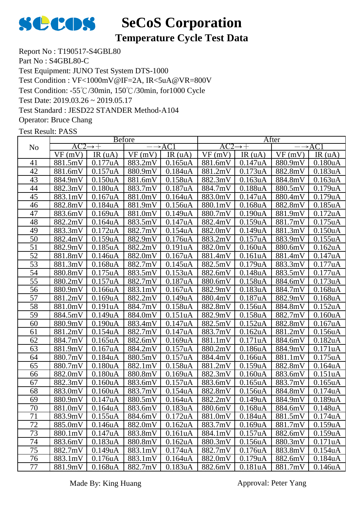

## **Temperature Cycle Test Data**

Report No : T190517-S4GBL80 Part No : S4GBL80-C Test Equipment: JUNO Test System DTS-1000 Test Condition: -55℃/30min, 150℃/30min, for1000 Cycle Test Date: 2019.03.26 ~ 2019.05.17 Test Standard : JESD22 STANDER Method-A104 Operator: Bruce Chang Test Condition : VF<1000mV@IF=2A, IR<5uA@VR=800V

|                 | <b>Before</b>       |                      |                   |                      | After               |                      |                   |                      |
|-----------------|---------------------|----------------------|-------------------|----------------------|---------------------|----------------------|-------------------|----------------------|
| N <sub>o</sub>  | $AC2 \rightarrow +$ |                      | $\rightarrow$ AC1 |                      | $AC2 \rightarrow +$ |                      | $\rightarrow$ AC1 |                      |
|                 | VF(mV)              | IR(uA)               | VF(mV)            | IR(uA)               | VF(mV)              | IR $(uA)$            | VF(mV)            | IR $(uA)$            |
| 41              | 881.5mV             | 0.177uA              | 883.2mV           | 0.165uA              | 881.6mV             | 0.147uA              | 880.9mV           | 0.180 <sub>u</sub> A |
| 42              | 881.6mV             | 0.157uA              | 880.9mV           | 0.184 <sub>u</sub> A | 881.2mV             | 0.173uA              | 882.8mV           | 0.183uA              |
| 43              | 884.9mV             | 0.150uA              | 881.6mV           | 0.158uA              | 882.3mV             | $0.163$ uA           | 884.8mV           | 0.163uA              |
| 44              | 882.3mV             | 0.180uA              | 883.7mV           | 0.187uA              | 884.7mV             | 0.188uA              | 880.5mV           | 0.179uA              |
| 45              | 883.1mV             | 0.167uA              | 881.0mV           | 0.164uA              | 883.0mV             | 0.147uA              | 880.4mV           | 0.179uA              |
| 46              | 882.8mV             | 0.184uA              | 881.9mV           | 0.156uA              | 880.1mV             | 0.168uA              | 882.8mV           | 0.185uA              |
| 47              | 883.6mV             | 0.169uA              | 881.0mV           | 0.149uA              | 880.7mV             | 0.190uA              | 881.9mV           | 0.172 <sub>u</sub> A |
| 48              | 882.2mV             | $0.164$ uA           | 883.5mV           | 0.147uA              | 882.4mV             | 0.159uA              | 881.7mV           | 0.175uA              |
| 49              | 883.3mV             | 0.172uA              | 882.7mV           | 0.154uA              | 882.0mV             | 0.149uA              | 881.3mV           | 0.150 <sub>u</sub> A |
| 50              | 882.4mV             | 0.159uA              | 882.9mV           | 0.176uA              | 883.2mV             | 0.157uA              | 883.9mV           | 0.155uA              |
| 51              | 882.9mV             | 0.185uA              | 882.2mV           | 0.191uA              | 882.0mV             | 0.160uA              | 880.6mV           | 0.162 <sub>u</sub> A |
| 52              | 881.8mV             | 0.146uA              | 882.0mV           | 0.167uA              | 881.4mV             | 0.161uA              | 881.4mV           | 0.147uA              |
| 53              | 881.3mV             | $0.168$ u $A$        | 882.7mV           | 0.145uA              | 882.5mV             | 0.179uA              | 883.3mV           | 0.177uA              |
| 54              | 880.8mV             | 0.175uA              | 883.5mV           | 0.153uA              | 882.6mV             | 0.148uA              | 883.5mV           | 0.177uA              |
| 55              | 880.2mV             | 0.157uA              | 882.7mV           | 0.187uA              | 880.6mV             | 0.158uA              | 884.6mV           | 0.173uA              |
| $\overline{56}$ | 880.9mV             | 0.166uA              | 883.1mV           | 0.167uA              | 882.9mV             | 0.183uA              | 884.7mV           | $0.168$ uA           |
| 57              | 881.2mV             | 0.169uA              | 882.2mV           | 0.149uA              | 880.4mV             | 0.187uA              | 882.9mV           | $0.168$ u $A$        |
| 58              | 881.0mV             | 0.191uA              | 884.7mV           | 0.158uA              | 882.8mV             | 0.156uA              | 884.8mV           | 0.152uA              |
| 59              | 884.5mV             | 0.149uA              | 884.0mV           | 0.151uA              | 882.9mV             | 0.158uA              | 882.7mV           | 0.160 <sub>u</sub> A |
| 60              | 880.9mV             | 0.190uA              | 883.4mV           | 0.147uA              | 882.5mV             | 0.152uA              | 882.8mV           | 0.167uA              |
| 61              | 881.2mV             | 0.154uA              | 882.7mV           | 0.147uA              | 883.7mV             | 0.162 <sub>u</sub> A | 881.2mV           | 0.156uA              |
| 62              | 884.7mV             | $0.165$ uA           | 882.6mV           | 0.169uA              | 881.1mV             | 0.171uA              | 884.6mV           | 0.182uA              |
| 63              | 881.9mV             | 0.167uA              | 884.2mV           | 0.157uA              | 880.2mV             | 0.186uA              | 884.9mV           | 0.171uA              |
| 64              | 880.7mV             | 0.184uA              | 880.5mV           | 0.157uA              | 884.4mV             | 0.166uA              | 881.1mV           | 0.175uA              |
| 65              | 880.7mV             | 0.180uA              | 882.1mV           | 0.158uA              | 881.2mV             | 0.159uA              | 882.8mV           | 0.164uA              |
| 66              | 882.0mV             | 0.180 <sub>u</sub> A | 880.8mV           | 0.169uA              | 882.3mV             | 0.160 <sub>u</sub> A | 883.6mV           | 0.151uA              |
| 67              | 882.3mV             | $0.160u$ A           | 883.6mV           | 0.157uA              | 883.6mV             | $0.165$ uA           | 883.7mV           | $0.165$ uA           |
| 68              | 883.0mV             | 0.160uA              | 883.7mV           | 0.154uA              | 882.8mV             | 0.156uA              | 884.8mV           | 0.174uA              |
| 69              | 880.9mV             | 0.147uA              | 880.5mV           | 0.164uA              | 882.2mV             | 0.149uA              | 884.9mV           | 0.189uA              |
| $70\,$          | 881.0mV 0.164uA     |                      | 883.6mV 0.183uA   |                      |                     | 880.6mV 0.168uA      | 884.6mV           | 0.148uA              |
| 71              | 883.9mV             | 0.155uA              | 884.6mV           | 0.172uA              | 881.0mV             | 0.184uA              | 881.5mV           | 0.174 <sub>u</sub> A |
| 72              | 885.0mV             | 0.146uA              | 882.0mV           | 0.162 <sub>u</sub> A | 883.7mV             | 0.169uA              | 881.7mV           | 0.159uA              |
| 73              | 880.1mV             | 0.147uA              | 883.8mV           | 0.161 <sub>u</sub> A | 884.1mV             | 0.157uA              | 882.6mV           | 0.159uA              |
| 74              | 883.6mV             | 0.183uA              | 880.8mV           | 0.162uA              | 880.3mV             | 0.156uA              | 880.3mV           | 0.171uA              |
| 75              | 882.7mV             | 0.149uA              | 883.1mV           | 0.174uA              | 882.7mV             | 0.176uA              | 883.8mV           | 0.154uA              |
| 76              | 883.1mV             | 0.176uA              | 883.1mV           | 0.164uA              | 882.0mV             | 0.179uA              | 882.6mV           | 0.184uA              |
| 77              | 881.9mV             | 0.168uA              | 882.7mV           | 0.183uA              | 882.6mV             | 0.181uA              | 881.7mV           | 0.146uA              |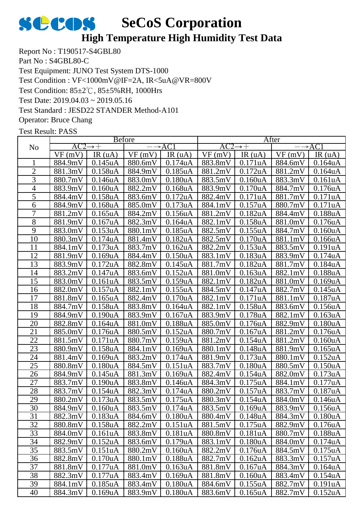## **High Temperature High Humidity Test Data**

Report No : T190517-S4GBL80 Part No : S4GBL80-C Test Equipment: JUNO Test System DTS-1000 Test Condition: 85±2℃, 85±5%RH, 1000Hrs Test Date: 2019.04.03 ~ 2019.05.16 Test Standard : JESD22 STANDER Method-A101 Operator: Bruce Chang Test Condition : VF<1000mV@IF=2A, IR<5uA@VR=800V

|                 |         |                      | <b>B</b> efore |                      | After               |                      |         |                      |  |
|-----------------|---------|----------------------|----------------|----------------------|---------------------|----------------------|---------|----------------------|--|
| N <sub>o</sub>  | AC2     | $\rightarrow +$      |                | $\rightarrow$ AC1    | $AC2 \rightarrow +$ |                      |         | $\rightarrow$ AC1    |  |
|                 | VF(mV)  | IR $(uA)$            | VF(mV)         | IR(uA)               | VF(mV)              | IR(uA)               | VF(mV)  | IR(uA)               |  |
|                 | 884.9mV | 0.145uA              | 880.6mV        | 0.174uA              | 883.8mV             | 0.171uA              | 884.6mV | 0.164uA              |  |
| $\mathbf{2}$    | 881.3mV | 0.158uA              | 884.9mV        | $0.185$ u $A$        | 881.2mV             | 0.172uA              | 881.2mV | 0.164uA              |  |
| 3               | 880.7mV | 0.146uA              | 883.0mV        | 0.180uA              | 883.5mV             | 0.160 <sub>u</sub> A | 883.3mV | 0.161uA              |  |
| $\overline{4}$  | 883.9mV | 0.160 <sub>u</sub> A | 882.2mV        | $0.168u$ A           | 883.9mV             | 0.170uA              | 884.7mV | 0.176uA              |  |
| $\overline{5}$  | 884.4mV | 0.158uA              | 883.6mV        | 0.172uA              | 882.4mV             | 0.171uA              | 881.7mV | 0.171uA              |  |
| 6               | 884.9mV | 0.168uA              | 885.0mV        | 0.173uA              | 884.1mV             | 0.157uA              | 880.7mV | 0.171uA              |  |
| 7               | 881.2mV | $0.165$ uA           | 884.2mV        | 0.156uA              | 881.2mV             | 0.182uA              | 884.4mV | 0.188uA              |  |
| $\overline{8}$  | 881.9mV | 0.167uA              | 882.3mV        | 0.164uA              | 882.1mV             | 0.158uA              | 881.0mV | 0.176uA              |  |
| 9               | 883.0mV | 0.153uA              | 880.1mV        | 0.185 <sub>u</sub> A | 882.5mV             | 0.155uA              | 884.7mV | 0.160 <sub>u</sub> A |  |
| 10              | 880.3mV | 0.174uA              | 881.4mV        | 0.182 <sub>u</sub> A | 882.5mV             | 0.170 <sub>u</sub> A | 881.1mV | 0.166uA              |  |
| 11              | 884.1mV | 0.173uA              | 883.7mV        | 0.162 <sub>u</sub> A | 882.2mV             | 0.153uA              | 883.5mV | 0.191uA              |  |
| 12              | 881.9mV | 0.169uA              | 884.4mV        | 0.150 <sub>u</sub> A | 883.1mV             | 0.183uA              | 883.9mV | 0.174uA              |  |
| 13              | 883.9mV | 0.172 <sub>u</sub> A | 882.8mV        | 0.145uA              | 881.7mV             | 0.182 <sub>u</sub> A | 881.7mV | 0.184 <sub>u</sub> A |  |
| 14              | 883.2mV | 0.147uA              | 883.6mV        | 0.152uA              | 881.0mV             | 0.163uA              | 882.1mV | 0.188uA              |  |
| 15              | 883.0mV | 0.161uA              | 883.5mV        | 0.159uA              | 882.1mV             | 0.182uA              | 881.0mV | 0.169uA              |  |
| 16              | 882.0mV | 0.157uA              | 882.1mV        | 0.155uA              | 884.5mV             | 0.147uA              | 882.7mV | 0.145 <sub>u</sub> A |  |
| 17              | 881.8mV | $0.165$ uA           | 882.4mV        | 0.170uA              | 882.1mV             | 0.171uA              | 881.1mV | 0.187uA              |  |
| 18              | 884.7mV | 0.158uA              | 883.8mV        | 0.164uA              | 882.1mV             | 0.158uA              | 883.6mV | 0.156uA              |  |
| 19              | 884.9mV | 0.190 <sub>u</sub> A | 883.9mV        | 0.167uA              | 883.9mV             | 0.178uA              | 882.1mV | 0.163uA              |  |
| 20              | 882.8mV | 0.164uA              | 881.0mV        | 0.188uA              | 885.0mV             | 0.176uA              | 882.9mV | 0.180uA              |  |
| 21              | 885.0mV | 0.176uA              | 880.5mV        | 0.152 <sub>u</sub> A | 880.7mV             | 0.167uA              | 881.2mV | 0.176uA              |  |
| 22              | 881.5mV | 0.171uA              | 880.7mV        | 0.159uA              | 881.2mV             | 0.154uA              | 881.2mV | 0.160uA              |  |
| 23              | 880.9mV | 0.158uA              | 884.1mV        | 0.169uA              | 880.1mV             | 0.148uA              | 881.9mV | 0.165uA              |  |
| $\overline{24}$ | 881.4mV | 0.169uA              | 883.2mV        | 0.174uA              | 881.9mV             | 0.173uA              | 880.1mV | 0.152 <sub>u</sub> A |  |
| 25              | 880.8mV | 0.180 <sub>u</sub> A | 884.5mV        | 0.151uA              | 883.7mV             | 0.180uA              | 880.5mV | 0.150uA              |  |
| 26              | 884.9mV | 0.145uA              | 881.3mV        | 0.169uA              | 882.4mV             | 0.154uA              | 882.0mV | 0.173uA              |  |
| 27              | 883.7mV | 0.190 <sub>u</sub> A | 883.8mV        | 0.146uA              | 884.3mV             | 0.175uA              | 884.1mV | 0.177uA              |  |
| 28              | 883.7mV | 0.154uA              | 882.3mV        | 0.174uA              | 880.2mV             | 0.157uA              | 883.7mV | 0.187uA              |  |
| 29              | 880.2mV | 0.173uA              | 883.5mV        | 0.175uA              | 880.3mV             | 0.154uA              | 884.0mV | 0.146uA              |  |
| 30              | 884.9mV | 0.160uA              | 883.5mV        | 0.174uA              | 883.5mV             | 0.169uA              | 883.9mV | 0.156uA              |  |
| 31              | 882.3mV | 0.183uA              | 884.6mV        | 0.180 <sub>u</sub> A | 880.4mV             | 0.148uA              | 884.3mV | 0.180 <sub>u</sub> A |  |
| 32              | 880.8mV | 0.158uA              | 882.2mV        | 0.151uA              | 881.5mV             | 0.175uA              | 882.9mV | 0.176uA              |  |
| 33              | 884.0mV | 0.161 <sub>u</sub> A | 883.8mV        | 0.181uA              | 880.8mV             | 0.181uA              | 880.7mV | 0.188uA              |  |
| 34              | 882.9mV | 0.152uA              | 883.6mV        | 0.179uA              | 883.1mV             | 0.180 <sub>u</sub> A | 884.0mV | 0.174uA              |  |
| 35              | 883.5mV | 0.151uA              | 880.2mV        | 0.160uA              | 882.2mV             | 0.176uA              | 884.5mV | $0.175$ uA           |  |
| 36              | 882.8mV | 0.170 <sub>u</sub> A | 880.1mV        | 0.188uA              | 882.7mV             | 0.162 <sub>u</sub> A | 883.3mV | 0.157uA              |  |
| 37              | 881.8mV | 0.177uA              | 881.0mV        | 0.163uA              | 881.8mV             | 0.167uA              | 884.3mV | 0.164uA              |  |
| 38              | 882.3mV | 0.177uA              | 883.4mV        | 0.169uA              | 881.8mV             | 0.160 <sub>u</sub> A | 883.4mV | 0.154uA              |  |
| 39              | 884.1mV | 0.185 <sub>u</sub> A | 883.4mV        | 0.180 <sub>u</sub> A | 884.6mV             | 0.155uA              | 882.7mV | 0.191uA              |  |
| 40              | 884.3mV | 0.169uA              | 883.9mV        | 0.180 <sub>u</sub> A | 883.6mV             | 0.165uA              | 882.7mV | 0.152 <sub>u</sub> A |  |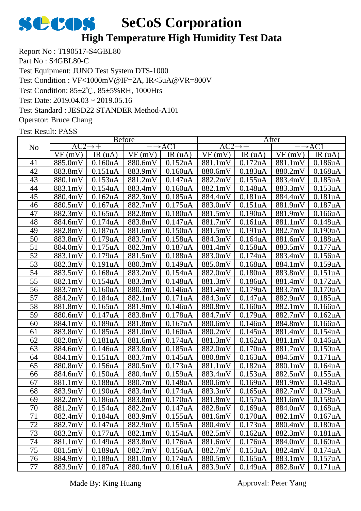## **High Temperature High Humidity Test Data**

Report No : T190517-S4GBL80 Part No : S4GBL80-C Test Equipment: JUNO Test System DTS-1000 Test Condition: 85±2℃, 85±5%RH, 1000Hrs Test Date: 2019.04.03 ~ 2019.05.16 Test Standard : JESD22 STANDER Method-A101 Operator: Bruce Chang Test Condition : VF<1000mV@IF=2A, IR<5uA@VR=800V

|                 |                     |                      | <b>Before</b>     |                      | After               |                      |                   |                      |  |
|-----------------|---------------------|----------------------|-------------------|----------------------|---------------------|----------------------|-------------------|----------------------|--|
| N <sub>o</sub>  | $AC2 \rightarrow +$ |                      | $\rightarrow$ AC1 |                      | $AC2 \rightarrow +$ |                      | $\rightarrow$ AC1 |                      |  |
|                 | VF(mV)              | IR(uA)               | VF(mV)            | IR(uA)               | VF(mV)              | IR $(uA)$            | VF(mV)            | IR $(uA)$            |  |
| 41              | 885.0mV             | 0.160 <sub>u</sub> A | 880.6mV           | 0.152uA              | 881.1mV             | 0.172uA              | 881.1mV           | 0.186uA              |  |
| 42              | 883.8mV             | 0.151uA              | 883.9mV           | $0.160u$ A           | 880.6mV             | 0.183uA              | 880.2mV           | 0.168uA              |  |
| 43              | 880.1mV             | 0.153uA              | 881.2mV           | 0.147uA              | 882.2mV             | 0.155uA              | 883.4mV           | 0.185uA              |  |
| 44              | 883.1mV             | 0.154uA              | 883.4mV           | 0.160 <sub>u</sub> A | 882.1mV             | 0.148uA              | 883.3mV           | 0.153uA              |  |
| 45              | 880.4mV             | 0.162uA              | 882.3mV           | 0.185 <sub>u</sub> A | 884.4mV             | 0.181uA              | 884.4mV           | 0.181uA              |  |
| 46              | 880.5mV             | 0.167uA              | 882.7mV           | 0.175uA              | 883.0mV             | 0.151uA              | 881.9mV           | 0.187uA              |  |
| 47              | 882.3mV             | $0.165$ uA           | 882.8mV           | 0.180 <sub>u</sub> A | 881.5mV             | 0.190uA              | 881.9mV           | 0.166uA              |  |
| 48              | 884.6mV             | 0.174uA              | 883.8mV           | 0.147uA              | 881.7mV             | 0.161uA              | 881.1mV           | 0.148uA              |  |
| 49              | 882.8mV             | 0.187uA              | 881.6mV           | 0.150uA              | 881.5mV             | 0.191 <sub>u</sub> A | 882.7mV           | 0.190uA              |  |
| 50              | 883.8mV             | 0.179uA              | 883.7mV           | 0.158uA              | 884.3mV             | 0.164uA              | 881.6mV           | 0.188uA              |  |
| 51              | 884.0mV             | 0.175uA              | 882.3mV           | 0.187uA              | 881.4mV             | 0.158uA              | 883.5mV           | 0.177uA              |  |
| $\overline{52}$ | 883.1mV             | 0.179uA              | 881.5mV           | 0.188uA              | 883.0mV             | 0.174uA              | 883.4mV           | 0.156uA              |  |
| 53              | 882.3mV             | 0.191uA              | 880.3mV           | 0.149uA              | 885.0mV             | $0.168$ u $A$        | 884.1mV           | 0.159uA              |  |
| 54              | 883.5mV             | 0.168uA              | 883.2mV           | 0.154uA              | 882.0mV             | 0.180uA              | 883.8mV           | 0.151uA              |  |
| 55              | 882.1mV             | 0.154uA              | 883.3mV           | 0.148uA              | 881.3mV             | 0.186uA              | 881.4mV           | 0.172uA              |  |
| $\overline{56}$ | 883.7mV             | 0.160 <sub>u</sub> A | 880.3mV           | 0.146uA              | 881.4mV             | $0.179$ uA           | 883.7mV           | 0.170 <sub>u</sub> A |  |
| 57              | 884.2mV             | 0.184uA              | 882.1mV           | 0.171uA              | 884.3mV             | 0.147uA              | 882.9mV           | $0.185$ uA           |  |
| 58              | 881.8mV             | 0.165uA              | 881.9mV           | 0.146uA              | 880.8mV             | 0.160 <sub>u</sub> A | 882.1mV           | 0.166uA              |  |
| 59              | 880.6mV             | 0.147uA              | 883.8mV           | 0.178uA              | 884.7mV             | 0.179uA              | 882.7mV           | 0.162 <sub>u</sub> A |  |
| 60              | 884.1mV             | 0.189uA              | 881.8mV           | 0.167uA              | 880.6mV             | 0.146uA              | 884.8mV           | 0.166uA              |  |
| 61              | 883.8mV             | 0.185uA              | 881.0mV           | 0.160uA              | 880.2mV             | 0.145uA              | 881.4mV           | 0.154uA              |  |
| 62              | 882.0mV             | 0.181uA              | 881.6mV           | 0.174 <sub>u</sub> A | 881.3mV             | 0.162 <sub>u</sub> A | 881.1mV           | 0.146uA              |  |
| 63              | 884.6mV             | 0.146uA              | 883.8mV           | 0.185uA              | 882.0mV             | 0.170uA              | 881.7mV           | 0.150uA              |  |
| 64              | 884.1mV             | 0.151uA              | 883.7mV           | 0.145uA              | 880.8mV             | 0.163uA              | 884.5mV           | 0.171uA              |  |
| 65              | 880.8mV             | 0.156uA              | 880.5mV           | 0.173uA              | 881.1mV             | 0.182uA              | 880.1mV           | 0.164uA              |  |
| 66              | 884.6mV             | 0.150uA              | 880.4mV           | 0.159uA              | 883.4mV             | 0.153uA              | 882.5mV           | 0.155uA              |  |
| 67              | 881.1mV             | 0.188uA              | 880.7mV           | 0.148uA              | 880.6mV             | 0.169uA              | 881.9mV           | 0.148uA              |  |
| 68              | 883.9mV             | 0.190uA              | 883.4mV           | 0.174uA              | 883.3mV             | $0.165$ uA           | 882.7mV           | 0.178uA              |  |
| 69              | 882.2mV             | 0.186uA              | 883.8mV           | 0.170uA              | 881.8mV             | 0.157uA              | 881.6mV           | 0.158uA              |  |
| $70\,$          | 881.2mV 0.154uA     |                      | $882.2mV$ 0.147uA |                      |                     | $882.8mV$ 0.169uA    | 884.0mV 0.168uA   |                      |  |
| 71              | 882.4mV             | 0.184uA              | 883.9mV           | 0.155uA              | 881.6mV             | 0.170uA              | 882.1mV           | 0.167 <sub>u</sub> A |  |
| 72              | 882.7mV             | 0.147uA              | 882.9mV           | 0.155uA              | 880.4mV             | 0.173uA              | 880.4mV           | 0.180 <sub>u</sub> A |  |
| 73              | 883.2mV             | 0.177uA              | 882.1mV           | 0.154 <sub>u</sub> A | 882.5mV             | 0.162 <sub>u</sub> A | 882.3mV           | 0.181uA              |  |
| 74              | 881.1mV             | 0.149uA              | 883.8mV           | 0.176uA              | 881.6mV             | 0.176uA              | 884.0mV           | 0.160 <sub>u</sub> A |  |
| 75              | 881.5mV             | 0.189uA              | 882.7mV           | 0.156uA              | 882.7mV             | 0.153uA              | 882.4mV           | 0.174uA              |  |
| 76              | 884.9mV             | 0.188uA              | 881.0mV           | 0.174uA              | 880.5mV             | 0.165uA              | 883.1mV           | 0.157uA              |  |
| 77              | 883.9mV             | 0.187uA              | 880.4mV           | 0.161uA              | 883.9mV             | 0.149uA              | 882.8mV           | 0.171uA              |  |